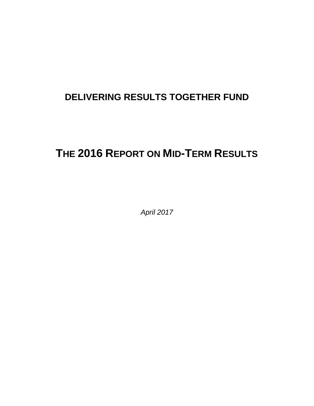# **DELIVERING RESULTS TOGETHER FUND**

# **THE 2016 REPORT ON MID-TERM RESULTS**

*April 2017*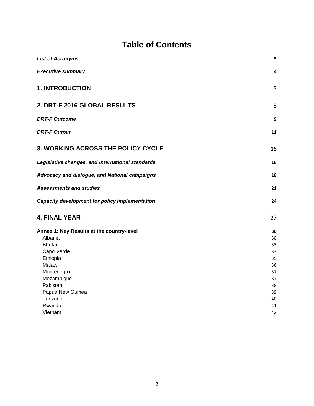# **Table of Contents**

| <b>List of Acronyms</b>                          | 3        |
|--------------------------------------------------|----------|
| <b>Executive summary</b>                         | 4        |
| <b>1. INTRODUCTION</b>                           | 5        |
| 2. DRT-F 2016 GLOBAL RESULTS                     | 8        |
| <b>DRT-F Outcome</b>                             | 9        |
| <b>DRT-F Output</b>                              | 11       |
| <b>3. WORKING ACROSS THE POLICY CYCLE</b>        | 16       |
| Legislative changes, and International standards | 16       |
| Advocacy and dialogue, and National campaigns    | 18       |
| <b>Assessments and studies</b>                   | 21       |
| Capacity development for policy implementation   | 24       |
| <b>4. FINAL YEAR</b>                             | 27       |
| Annex 1: Key Results at the country-level        | 30       |
| Albania                                          | 30       |
| <b>Bhutan</b>                                    | 33       |
| Capo Verde                                       | 33       |
| Ethiopia<br>Malawi                               | 35       |
| Montenegro                                       | 36<br>37 |
| Mozambique                                       | 37       |
| Pakistan                                         | 38       |
| Papua New Guinea                                 | 39       |
| Tanzania                                         | 40       |
| Rwanda                                           | 41       |
| Vietnam                                          | 42       |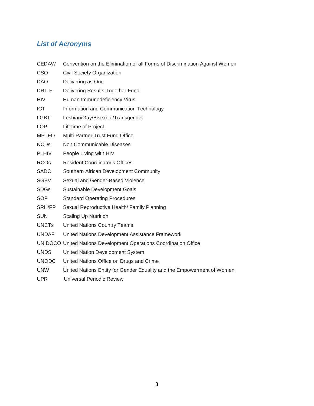# *List of Acronyms*

CEDAW Convention on the Elimination of all Forms of Discrimination Against Women

| <b>CSO</b>             | Civil Society Organization                                             |
|------------------------|------------------------------------------------------------------------|
| <b>DAO</b>             | Delivering as One                                                      |
| DRT-F                  | Delivering Results Together Fund                                       |
| <b>HIV</b>             | Human Immunodeficiency Virus                                           |
| <b>ICT</b>             | Information and Communication Technology                               |
| <b>LGBT</b>            | Lesbian/Gay/Bisexual/Transgender                                       |
| <b>LOP</b>             | Lifetime of Project                                                    |
| <b>MPTFO</b>           | Multi-Partner Trust Fund Office                                        |
| <b>NCDs</b>            | Non Communicable Diseases                                              |
| <b>PLHIV</b>           | People Living with HIV                                                 |
| <b>RCO<sub>s</sub></b> | <b>Resident Coordinator's Offices</b>                                  |
| <b>SADC</b>            | Southern African Development Community                                 |
| <b>SGBV</b>            | Sexual and Gender-Based Violence                                       |
| <b>SDGs</b>            | Sustainable Development Goals                                          |
| <b>SOP</b>             | <b>Standard Operating Procedures</b>                                   |
| SRH/FP                 | Sexual Reproductive Health/ Family Planning                            |
| <b>SUN</b>             | <b>Scaling Up Nutrition</b>                                            |
| <b>UNCTS</b>           | <b>United Nations Country Teams</b>                                    |
| <b>UNDAF</b>           | United Nations Development Assistance Framework                        |
|                        | UN DOCO United Nations Development Operations Coordination Office      |
| <b>UNDS</b>            | United Nation Development System                                       |
| <b>UNODC</b>           | United Nations Office on Drugs and Crime                               |
| <b>UNW</b>             | United Nations Entity for Gender Equality and the Empowerment of Women |

UPR Universal Periodic Review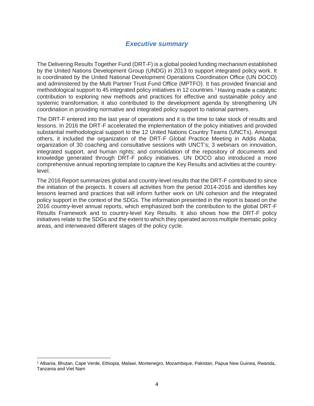# *Executive summary*

The Delivering Results Together Fund (DRT-F) is a global pooled funding mechanism established by the United Nations Development Group (UNDG) in 2013 to support integrated policy work. It is coordinated by the United National Development Operations Coordination Office (UN DOCO) and administered by the Multi Partner Trust Fund Office (MPTFO). It has provided financial and methodological support to 45 integrated policy initiatives in 12 countries. [1](#page-3-0) Having made a catalytic contribution to exploring new methods and practices for effective and sustainable policy and systemic transformation, it also contributed to the development agenda by strengthening UN coordination in providing normative and integrated policy support to national partners.

The DRT-F entered into the last year of operations and it is the time to take stock of results and lessons. In 2016 the DRT-F accelerated the implementation of the policy initiatives and provided substantial methodological support to the 12 United Nations Country Teams (UNCTs). Amongst others, it included the organization of the DRT-F Global Practice Meeting in Addis Ababa; organization of 30 coaching and consultative sessions with UNCT's; 3 webinars on innovation, integrated support, and human rights; and consolidation of the repository of documents and knowledge generated through DRT-F policy initiatives. UN DOCO also introduced a more comprehensive annual reporting template to capture the Key Results and activities at the countrylevel.

The 2016 Report summarizes global and country-level results that the DRT-F contributed to since the initiation of the projects. It covers all activities from the period 2014-2016 and identifies key lessons learned and practices that will inform further work on UN cohesion and the integrated policy support in the context of the SDGs. The information presented in the report is based on the 2016 country-level annual reports, which emphasized both the contribution to the global DRT-F Results Framework and to country-level Key Results. It also shows how the DRT-F policy initiatives relate to the SDGs and the extent to which they operated across multiple thematic policy areas, and interweaved different stages of the policy cycle.

 $\overline{\phantom{a}}$ 

<span id="page-3-0"></span><sup>1</sup> Albania, Bhutan, Cape Verde, Ethiopia, Malawi, Montenegro, Mozambique, Pakistan, Papua New Guinea, Rwanda, Tanzania and Viet Nam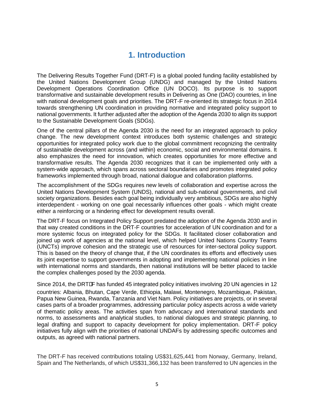# **1. Introduction**

The Delivering Results Together Fund (DRT-F) is a global pooled funding facility established by the United Nations Development Group (UNDG) and managed by the United Nations Development Operations Coordination Office (UN DOCO). Its purpose is to support transformative and sustainable development results in Delivering as One (DAO) countries, in line with national development goals and priorities. The DRT-F re-oriented its strategic focus in 2014 towards strengthening UN coordination in providing normative and integrated policy support to national governments. It further adjusted after the adoption of the Agenda 2030 to align its support to the Sustainable Development Goals (SDGs).

One of the central pillars of the Agenda 2030 is the need for an integrated approach to policy change. The new development context introduces both systemic challenges and strategic opportunities for integrated policy work due to the global commitment recognizing the centrality of sustainable development across (and within) economic, social and environmental domains. It also emphasizes the need for innovation, which creates opportunities for more effective and transformative results. The Agenda 2030 recognizes that it can be implemented only with a system-wide approach, which spans across sectoral boundaries and promotes integrated policy frameworks implemented through broad, national dialogue and collaboration platforms.

The accomplishment of the SDGs requires new levels of collaboration and expertise across the United Nations Development System (UNDS), national and sub-national governments, and civil society organizations. Besides each goal being individually very ambitious, SDGs are also highly interdependent - working on one goal necessarily influences other goals - which might create either a reinforcing or a hindering effect for development results overall.

The DRT-F focus on Integrated Policy Support predated the adoption of the Agenda 2030 and in that way created conditions in the DRT-F countries for acceleration of UN coordination and for a more systemic focus on integrated policy for the SDGs. It facilitated closer collaboration and ioined up work of agencies at the national level, which helped United Nations Country Teams (UNCTs) improve cohesion and the strategic use of resources for inter-sectoral policy support. This is based on the theory of change that, if the UN coordinates its efforts and effectively uses its joint expertise to support governments in adopting and implementing national policies in line with international norms and standards, then national institutions will be better placed to tackle the complex challenges posed by the 2030 agenda.

Since 2014, the DRTL has funded 45 integrated policy initiatives involving 20 UN agencies in 12 countries: Albania, Bhutan, Cape Verde, Ethiopia, Malawi, Montenegro, Mozambique, Pakistan, Papua New Guinea, Rwanda, Tanzania and Viet Nam. Policy initiatives are projects, or in several cases parts of a broader programmes, addressing particular policy aspects across a wide variety of thematic policy areas. The activities span from advocacy and international standards and norms, to assessments and analytical studies, to national dialogues and strategic planning, to legal drafting and support to capacity development for policy implementation. DRT-F policy initiatives fully align with the priorities of national UNDAFs by addressing specific outcomes and outputs, as agreed with national partners.

The DRT-F has received contributions totaling US\$31,625,441 from Norway, Germany, Ireland, Spain and The Netherlands, of which US\$31,366,132 has been transferred to UN agencies in the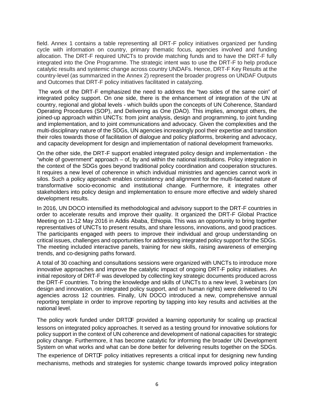field. Annex 1 contains a table representing all DRT-F policy initiatives organized per funding cycle with information on country, primary thematic focus, agencies involved and funding allocation. The DRT-F required UNCTs to provide matching funds and to have the DRT-F fully integrated into the One Programme. The strategic intent was to use the DRT-F to help produce catalytic results and systemic change across country UNDAFs. Hence, DRT-F Key Results at the country-level (as summarized in the Annex 2) represent the broader progress on UNDAF Outputs and Outcomes that DRT-F policy initiatives facilitated in catalyzing.

The work of the DRT-F emphasized the need to address the "two sides of the same coin" of integrated policy support. On one side, there is the enhancement of integration of the UN at country, regional and global levels - which builds upon the concepts of UN Coherence, Standard Operating Procedures (SOP), and Delivering as One (DAO). This implies, amongst others, the joined-up approach within UNCTs: from joint analysis, design and programming, to joint funding and implementation, and to joint communications and advocacy. Given the complexities and the multi-disciplinary nature of the SDGs, UN agencies increasingly pool their expertise and transition their roles towards those of facilitation of dialogue and policy platforms, brokering and advocacy, and capacity development for design and implementation of national development frameworks.

On the other side, the DRT-F support enabled integrated policy design and implementation - the "whole of government" approach – of, by and within the national institutions. Policy integration in the context of the SDGs goes beyond traditional policy coordination and cooperation structures. It requires a new level of coherence in which individual ministries and agencies cannot work in silos. Such a policy approach enables consistency and alignment for the multi-faceted nature of transformative socio-economic and institutional change. Furthermore, it integrates other stakeholders into policy design and implementation to ensure more effective and widely shared development results.

In 2016, UN DOCO intensified its methodological and advisory support to the DRT-F countries in order to accelerate results and improve their quality. It organized the DRT-F Global Practice Meeting on 11-12 May 2016 in Addis Ababa, Ethiopia. This was an opportunity to bring together representatives of UNCTs to present results, and share lessons, innovations, and good practices. The participants engaged with peers to improve their individual and group understanding on critical issues, challenges and opportunities for addressing integrated policy support for the SDGs. The meeting included interactive panels, training for new skills, raising awareness of emerging trends, and co-designing paths forward.

A total of 30 coaching and consultations sessions were organized with UNCTs to introduce more innovative approaches and improve the catalytic impact of ongoing DRT-F policy initiatives. An initial repository of DRT-F was developed by collecting key strategic documents produced across the DRT-F countries. To bring the knowledge and skills of UNCTs to a new level, 3 webinars (on design and innovation, on integrated policy support, and on human rights) were delivered to UN agencies across 12 countries. Finally, UN DOCO introduced a new, comprehensive annual reporting template in order to improve reporting by tapping into key results and activities at the national level.

The policy work funded under DRTLF provided a learning opportunity for scaling up practical lessons on integrated policy approaches. It served as a testing ground for innovative solutions for policy support in the context of UN coherence and development of national capacities for strategic policy change. Furthermore, it has become catalytic for informing the broader UN Development System on what works and what can be done better for delivering results together on the SDGs.

The experience of DRTLF policy initiatives represents a critical input for designing new funding mechanisms, methods and strategies for systemic change towards improved policy integration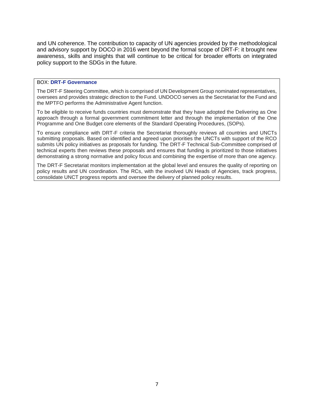and UN coherence. The contribution to capacity of UN agencies provided by the methodological and advisory support by DOCO in 2016 went beyond the formal scope of DRT-F: it brought new awareness, skills and insights that will continue to be critical for broader efforts on integrated policy support to the SDGs in the future.

#### BOX: **DRT-F Governance**

The DRT-F Steering Committee, which is comprised of UN Development Group nominated representatives, oversees and provides strategic direction to the Fund. UNDOCO serves as the Secretariat for the Fund and the MPTFO performs the Administrative Agent function.

To be eligible to receive funds countries must demonstrate that they have adopted the Delivering as One approach through a formal government commitment letter and through the implementation of the One Programme and One Budget core elements of the Standard Operating Procedures, (SOPs).

To ensure compliance with DRT-F criteria the Secretariat thoroughly reviews all countries and UNCTs submitting proposals. Based on identified and agreed upon priorities the UNCTs with support of the RCO submits UN policy initiatives as proposals for funding. The DRT-F Technical Sub-Committee comprised of technical experts then reviews these proposals and ensures that funding is prioritized to those initiatives demonstrating a strong normative and policy focus and combining the expertise of more than one agency.

The DRT-F Secretariat monitors implementation at the global level and ensures the quality of reporting on policy results and UN coordination. The RCs, with the involved UN Heads of Agencies, track progress, consolidate UNCT progress reports and oversee the delivery of planned policy results.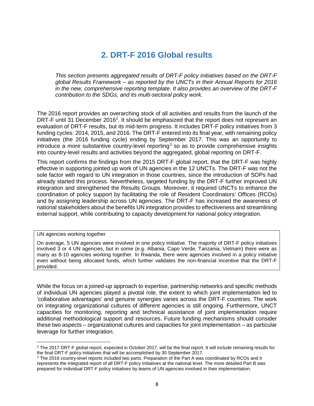# **2. DRT-F 2016 Global results**

*This section presents aggregated results of DRT-F policy initiatives based on the DRT-F global Results Framework – as reported by the UNCTs in their Annual Reports for 2016 in the new, comprehensive reporting template. It also provides an overview of the DRT-F contribution to the SDGs, and its multi-sectoral policy work.* 

The 2016 report provides an overarching stock of all activities and results from the launch of the DRT-F until 31 December [2](#page-7-0)016<sup>2</sup>. It should be emphasized that the report does not represent an evaluation of DRT-F results, but its mid-term progress. It includes DRT-F policy initiatives from 3 funding cycles: 2014, 2015, and 2016. The DRT-F entered into its final year, with remaining policy initiatives (the 2016 funding cycle) ending by September 2017. This was an opportunity to introduce a more substantive country-level reporting<sup>[3](#page-7-1)</sup> so as to provide comprehensive insights into country-level results and activities beyond the aggregated, global reporting on DRT-F.

This report confirms the findings from the 2015 DRT-F global report, that the DRT-F was highly effective in supporting jointed up work of UN agencies in the 12 UNCTs. The DRT-F was not the sole factor with regard to UN integration in those countries, since the introduction of SOPs had already started this process. Nevertheless, targeted funding by the DRT-F further improved UN integration and strengthened the Results Groups. Moreover, it required UNCTs to enhance the coordination of policy support by facilitating the role of Resident Coordinators' Offices (RCOs) and by assigning leadership across UN agencies. The DRT-F has increased the awareness of national stakeholders about the benefits UN integration provides to effectiveness and streamlining external support, while contributing to capacity development for national policy integration.

#### UN agencies working together

 $\overline{\phantom{a}}$ 

On average, 5 UN agencies were involved in one policy initiative. The majority of DRT-F policy initiatives involved 3 or 4 UN agencies, but in some (e.g. Albania, Capo Verde, Tanzania, Vietnam) there were as many as 8-10 agencies working together. In Rwanda, there were agencies involved in a policy initiative even without being allocated funds, which further validates the non-financial incentive that the DRT-F provided.

While the focus on a joined-up approach to expertise, partnership networks and specific methods of individual UN agencies played a pivotal role, the extent to which joint implementation led to 'collaborative advantages' and genuine synergies varies across the DRT-F countries. The work on integrating organizational cultures of different agencies is still ongoing. Furthermore, UNCT capacities for monitoring, reporting and technical assistance of joint implementation require additional methodological support and resources. Future funding mechanisms should consider these two aspects – organizational cultures and capacities for joint implementation – as particular leverage for further integration.

<span id="page-7-0"></span> $2$  The 2017 DRT-F global report, expected in October 2017, will be the final report. It will include remaining results for the final DRT-F policy initiatives that will be accomplished by 30 September 2017.

<span id="page-7-1"></span><sup>&</sup>lt;sup>3</sup> The 2016 country-level reports included two parts. Preparation of the Part A was coordinated by RCOs and it represents the integrated report of all DRT-F policy initiatives at the national level. The more detailed Part B was prepared for individual DRT-F policy initiatives by teams of UN agencies involved in their implementation.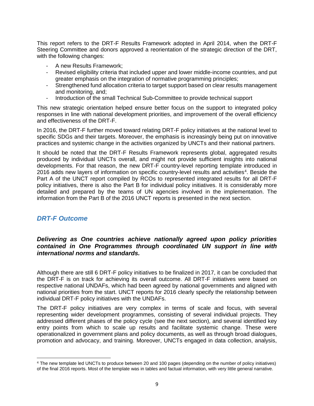This report refers to the DRT-F Results Framework adopted in April 2014, when the DRT-F Steering Committee and donors approved a reorientation of the strategic direction of the DRT, with the following changes:

- A new Results Framework;
- Revised eligibility criteria that included upper and lower middle-income countries, and put greater emphasis on the integration of normative programming principles;
- Strengthened fund allocation criteria to target support based on clear results management and monitoring, and;
- Introduction of the small Technical Sub-Committee to provide technical support

This new strategic orientation helped ensure better focus on the support to integrated policy responses in line with national development priorities, and improvement of the overall efficiency and effectiveness of the DRT-F.

In 2016, the DRT-F further moved toward relating DRT-F policy initiatives at the national level to specific SDGs and their targets. Moreover, the emphasis is increasingly being put on innovative practices and systemic change in the activities organized by UNCTs and their national partners.

It should be noted that the DRT-F Results Framework represents global, aggregated results produced by individual UNCTs overall, and might not provide sufficient insights into national developments. For that reason, the new DRT-F country-level reporting template introduced in 2016 adds new layers of information on specific country-level results and activities<sup>[4](#page-8-0)</sup>. Beside the Part A of the UNCT report compiled by RCOs to represented integrated results for all DRT-F policy initiatives, there is also the Part B for individual policy initiatives. It is considerably more detailed and prepared by the teams of UN agencies involved in the implementation. The information from the Part B of the 2016 UNCT reports is presented in the next section.

# *DRT-F Outcome*

 $\overline{\phantom{a}}$ 

# *Delivering as One countries achieve nationally agreed upon policy priorities contained in One Programmes through coordinated UN support in line with international norms and standards.*

Although there are still 6 DRT-F policy initiatives to be finalized in 2017, it can be concluded that the DRT-F is on track for achieving its overall outcome. All DRT-F initiatives were based on respective national UNDAFs, which had been agreed by national governments and aligned with national priorities from the start. UNCT reports for 2016 clearly specify the relationship between individual DRT-F policy initiatives with the UNDAFs.

The DRT-F policy initiatives are very complex in terms of scale and focus, with several representing wider development programmes, consisting of several individual projects. They addressed different phases of the policy cycle (see the next section), and several identified key entry points from which to scale up results and facilitate systemic change. These were operationalized in government plans and policy documents, as well as through broad dialogues, promotion and advocacy, and training. Moreover, UNCTs engaged in data collection, analysis,

<span id="page-8-0"></span><sup>4</sup> The new template led UNCTs to produce between 20 and 100 pages (depending on the number of policy initiatives) of the final 2016 reports. Most of the template was in tables and factual information, with very little general narrative.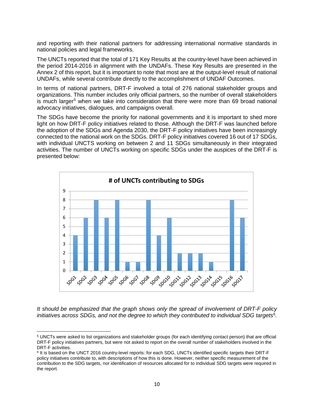and reporting with their national partners for addressing international normative standards in national policies and legal frameworks.

The UNCTs reported that the total of 171 Key Results at the country-level have been achieved in the period 2014-2016 in alignment with the UNDAFs. These Key Results are presented in the Annex 2 of this report, but it is important to note that most are at the output-level result of national UNDAFs, while several contribute directly to the accomplishment of UNDAF Outcomes.

In terms of national partners, DRT-F involved a total of 276 national stakeholder groups and organizations. This number includes only official partners, so the number of overall stakeholders is much larger<sup>[5](#page-9-0)</sup> when we take into consideration that there were more than 69 broad national advocacy initiatives, dialogues, and campaigns overall.

The SDGs have become the priority for national governments and it is important to shed more light on how DRT-F policy initiatives related to those. Although the DRT-F was launched before the adoption of the SDGs and Agenda 2030, the DRT-F policy initiatives have been increasingly connected to the national work on the SDGs. DRT-F policy initiatives covered 16 out of 17 SDGs, with individual UNCTS working on between 2 and 11 SDGs simultaneously in their integrated activities. The number of UNCTs working on specific SDGs under the auspices of the DRT-F is presented below:



*It should be emphasized that the graph shows only the spread of involvement of DRT-F policy initiatives across SDGs, and not the degree to which they contributed to individual SDG targets*[6](#page-9-1) *.* 

 $\overline{\phantom{a}}$ 

<span id="page-9-0"></span><sup>5</sup> UNCTs were asked to list organizations and stakeholder groups (for each identifying contact person) that are official DRT-F policy initiatives partners, but were not asked to report on the overall number of stakeholders involved in the<br>DRT-F activities.

<span id="page-9-1"></span> $6$  It is based on the UNCT 2016 country-level reports: for each SDG, UNCTs identified specific targets their DRT-F policy initiatives contribute to, with descriptions of how this is done. However, neither specific measurement of the contribution to the SDG targets, nor identification of resources allocated for to individual SDG targets were required in the report.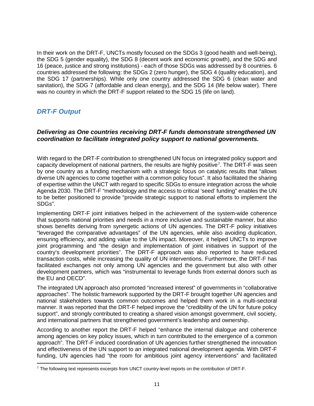In their work on the DRT-F, UNCTs mostly focused on the SDGs 3 (good health and well-being), the SDG 5 (gender equality), the SDG 8 (decent work and economic growth), and the SDG and 16 (peace, justice and strong institutions) - each of those SDGs was addressed by 8 countries. 6 countries addressed the following: the SDGs 2 (zero hunger), the SDG 4 (quality education), and the SDG 17 (partnerships). While only one country addressed the SDG 6 (clean water and sanitation), the SDG 7 (affordable and clean energy), and the SDG 14 (life below water). There was no country in which the DRT-F support related to the SDG 15 (life on land).

# *DRT-F Output*

l

## *Delivering as One countries receiving DRT-F funds demonstrate strengthened UN coordination to facilitate integrated policy support to national governments.*

With regard to the DRT-F contribution to strengthened UN focus on integrated policy support and capacity development of national partners, the results are highly positive<sup>[7](#page-10-0)</sup>. The DRT-F was seen by one country as a funding mechanism with a strategic focus on catalytic results that "allows diverse UN agencies to come together with a common policy focus". It also facilitated the sharing of expertise within the UNCT with regard to specific SDGs to ensure integration across the whole Agenda 2030. The DRT-F "methodology and the access to critical 'seed' funding" enables the UN to be better positioned to provide "provide strategic support to national efforts to implement the SDGs".

Implementing DRT-F joint initiatives helped in the achievement of the system-wide coherence that supports national priorities and needs in a more inclusive and sustainable manner, but also shows benefits deriving from synergetic actions of UN agencies. The DRT-F policy initiatives "leveraged the comparative advantages" of the UN agencies, while also avoiding duplication, ensuring efficiency, and adding value to the UN impact. Moreover, it helped UNCTs to improve joint programming and "the design and implementation of joint initiatives in support of the country's development priorities". The DRT-F approach was also reported to have reduced transaction costs, while increasing the quality of UN interventions. Furthermore, the DRT-F has facilitated exchanges not only among UN agencies and the government but also with other development partners, which was "instrumental to leverage funds from external donors such as the EU and OECD".

The integrated UN approach also promoted "increased interest" of governments in "collaborative approaches". The holistic framework supported by the DRT-F brought together UN agencies and national stakeholders towards common outcomes and helped them work in a multi-sectoral manner. It was reported that the DRT-F helped improve the "credibility of the UN for future policy support", and strongly contributed to creating a shared vision amongst government, civil society, and international partners that strengthened government's leadership and ownership.

According to another report the DRT-F helped "enhance the internal dialogue and coherence among agencies on key policy issues, which in turn contributed to the emergence of a common approach". The DRT-F induced coordination of UN agencies further strengthened the innovation and effectiveness of the UN support to an integrated national development agenda. With DRT-F funding, UN agencies had "the room for ambitious joint agency interventions" and facilitated

<span id="page-10-0"></span><sup>7</sup> The following text represents excerpts from UNCT country-level reports on the contribution of DRT-F.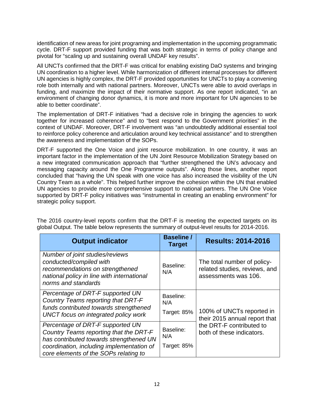identification of new areas for joint programing and implementation in the upcoming programmatic cycle. DRT-F support provided funding that was both strategic in terms of policy change and pivotal for "scaling up and sustaining overall UNDAF key results".

All UNCTs confirmed that the DRT-F was critical for enabling existing DaO systems and bringing UN coordination to a higher level. While harmonization of different internal processes for different UN agencies is highly complex, the DRT-F provided opportunities for UNCTs to play a convening role both internally and with national partners. Moreover, UNCTs were able to avoid overlaps in funding, and maximize the impact of their normative support. As one report indicated, "in an environment of changing donor dynamics, it is more and more important for UN agencies to be able to better coordinate".

The implementation of DRT-F initiatives "had a decisive role in bringing the agencies to work together for increased coherence" and to "best respond to the Government priorities" in the context of UNDAF. Moreover, DRT-F involvement was "an undoubtedly additional essential tool to reinforce policy coherence and articulation around key technical assistance" and to strengthen the awareness and implementation of the SOPs.

DRT-F supported the One Voice and joint resource mobilization. In one country, it was an important factor in the implementation of the UN Joint Resource Mobilization Strategy based on a new integrated communication approach that "further strengthened the UN's advocacy and messaging capacity around the One Programme outputs". Along those lines, another report concluded that "having the UN speak with one voice has also increased the visibility of the UN Country Team as a whole". This helped further improve the cohesion within the UN that enabled UN agencies to provide more comprehensive support to national partners. The UN One Voice supported by DRT-F policy initiatives was "instrumental in creating an enabling environment" for strategic policy support.

| <b>Output indicator</b>                                                                                                                                            | <b>Baseline /</b><br><b>Target</b> | <b>Results: 2014-2016</b>                                                            |
|--------------------------------------------------------------------------------------------------------------------------------------------------------------------|------------------------------------|--------------------------------------------------------------------------------------|
| Number of joint studies/reviews<br>conducted/compiled with<br>recommendations on strengthened<br>national policy in line with international<br>norms and standards | Baseline:<br>N/A                   | The total number of policy-<br>related studies, reviews, and<br>assessments was 106. |
| Percentage of DRT-F supported UN<br>Country Teams reporting that DRT-F                                                                                             | Baseline:<br>N/A                   |                                                                                      |
| funds contributed towards strengthened<br>UNCT focus on integrated policy work                                                                                     | Target: 85%                        | 100% of UNCTs reported in<br>their 2015 annual report that                           |
| Percentage of DRT-F supported UN<br>Country Teams reporting that the DRT-F                                                                                         | Baseline:<br>N/A                   | the DRT-F contributed to<br>both of these indicators.                                |
| has contributed towards strengthened UN<br>coordination, including implementation of<br>core elements of the SOPs relating to                                      | Target: 85%                        |                                                                                      |

The 2016 country-level reports confirm that the DRT-F is meeting the expected targets on its global Output. The table below represents the summary of output-level results for 2014-2016.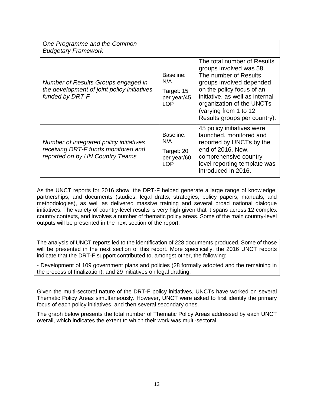| One Programme and the Common<br><b>Budgetary Framework</b>                                                        |                                                             |                                                                                                                                                                                                                                                                    |
|-------------------------------------------------------------------------------------------------------------------|-------------------------------------------------------------|--------------------------------------------------------------------------------------------------------------------------------------------------------------------------------------------------------------------------------------------------------------------|
| Number of Results Groups engaged in<br>the development of joint policy initiatives<br>funded by DRT-F             | Baseline:<br>N/A<br>Target: 15<br>per year/45<br><b>LOP</b> | The total number of Results<br>groups involved was 58.<br>The number of Results<br>groups involved depended<br>on the policy focus of an<br>initiative, as well as internal<br>organization of the UNCTs<br>(varying from 1 to 12)<br>Results groups per country). |
| Number of integrated policy initiatives<br>receiving DRT-F funds monitored and<br>reported on by UN Country Teams | Baseline:<br>N/A<br>Target: 20<br>per year/60<br>LOP        | 45 policy initiatives were<br>launched, monitored and<br>reported by UNCTs by the<br>end of 2016. New,<br>comprehensive country-<br>level reporting template was<br>introduced in 2016.                                                                            |

As the UNCT reports for 2016 show, the DRT-F helped generate a large range of knowledge, partnerships, and documents (studies, legal drafts, strategies, policy papers, manuals, and methodologies), as well as delivered massive training and several broad national dialogue initiatives. The variety of country-level results is very high given that it spans across 12 complex country contexts, and involves a number of thematic policy areas. Some of the main country-level outputs will be presented in the next section of the report.

The analysis of UNCT reports led to the identification of 228 documents produced. Some of those will be presented in the next section of this report. More specifically, the 2016 UNCT reports indicate that the DRT-F support contributed to, amongst other, the following:

- Development of 109 government plans and policies (28 formally adopted and the remaining in the process of finalization), and 29 initiatives on legal drafting.

Given the multi-sectoral nature of the DRT-F policy initiatives, UNCTs have worked on several Thematic Policy Areas simultaneously. However, UNCT were asked to first identify the primary focus of each policy initiatives, and then several secondary ones.

The graph below presents the total number of Thematic Policy Areas addressed by each UNCT overall, which indicates the extent to which their work was multi-sectoral.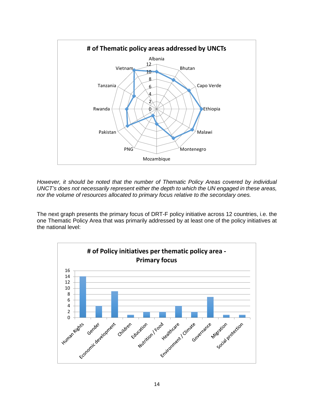

*However, it should be noted that the number of Thematic Policy Areas covered by individual UNCT's does not necessarily represent either the depth to which the UN engaged in these areas, nor the volume of resources allocated to primary focus relative to the secondary ones.* 

The next graph presents the primary focus of DRT-F policy initiative across 12 countries, i.e. the one Thematic Policy Area that was primarily addressed by at least one of the policy initiatives at the national level:

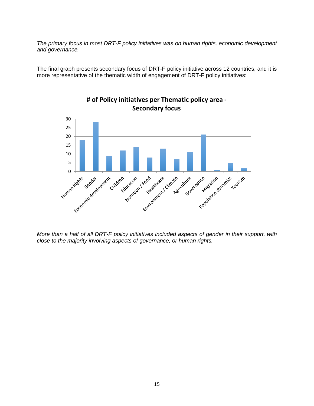*The primary focus in most DRT-F policy initiatives was on human rights, economic development and governance.* 

The final graph presents secondary focus of DRT-F policy initiative across 12 countries, and it is more representative of the thematic width of engagement of DRT-F policy initiatives:



*More than a half of all DRT-F policy initiatives included aspects of gender in their support, with close to the majority involving aspects of governance, or human rights.*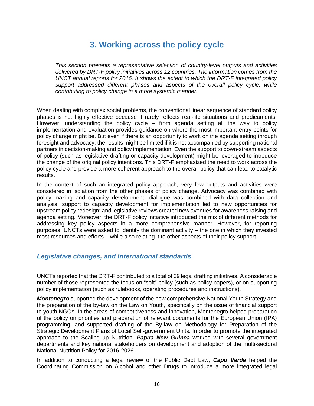# **3. Working across the policy cycle**

*This section presents a representative selection of country-level outputs and activities delivered by DRT-F policy initiatives across 12 countries. The information comes from the UNCT annual reports for 2016. It shows the extent to which the DRT-F integrated policy support addressed different phases and aspects of the overall policy cycle, while contributing to policy change in a more systemic manner.* 

When dealing with complex social problems, the conventional linear sequence of standard policy phases is not highly effective because it rarely reflects real-life situations and predicaments. However, understanding the policy cycle – from agenda setting all the way to policy implementation and evaluation provides guidance on where the most important entry points for policy change might be. But even if there is an opportunity to work on the agenda setting through foresight and advocacy, the results might be limited if it is not accompanied by supporting national partners in decision-making and policy implementation. Even the support to down-stream aspects of policy (such as legislative drafting or capacity development) might be leveraged to introduce the change of the original policy intentions. This DRT-F emphasized the need to work across the policy cycle and provide a more coherent approach to the overall policy that can lead to catalytic results.

In the context of such an integrated policy approach, very few outputs and activities were considered in isolation from the other phases of policy change. Advocacy was combined with policy making and capacity development; dialogue was combined with data collection and analysis; support to capacity development for implementation led to new opportunities for upstream policy redesign; and legislative reviews created new avenues for awareness raising and agenda setting. Moreover, the DRT-F policy initiative introduced the mix of different methods for addressing key policy aspects in a more comprehensive manner. However, for reporting purposes, UNCTs were asked to identify the dominant activity – the one in which they invested most resources and efforts – while also relating it to other aspects of their policy support.

# *Legislative changes, and International standards*

UNCTs reported that the DRT-F contributed to a total of 39 legal drafting initiatives. A considerable number of those represented the focus on "soft" policy (such as policy papers), or on supporting policy implementation (such as rulebooks, operating procedures and instructions).

*Montenegro* supported the development of the new comprehensive National Youth Strategy and the preparation of the by-law on the Law on Youth, specifically on the issue of financial support to youth NGOs. In the areas of competitiveness and innovation, Montenegro helped preparation of the policy on priorities and preparation of relevant documents for the European Union (IPA) programming, and supported drafting of the By-law on Methodology for Preparation of the Strategic Development Plans of Local Self-government Units. In order to promote the integrated approach to the Scaling up Nutrition, *Papua New Guinea* worked with several government departments and key national stakeholders on development and adoption of the multi-sectoral National Nutrition Policy for 2016-2026.

In addition to conducting a legal review of the Public Debt Law, *Capo Verde* helped the Coordinating Commission on Alcohol and other Drugs to introduce a more integrated legal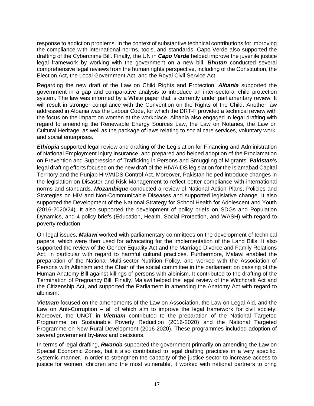response to addiction problems. In the context of substantive technical contributions for improving the compliance with international norms, tools, and standards, Capo Verde also supported the drafting of the Cybercrime Bill. Finally, the UN in *Capo Verde* helped improve the juvenile justice legal framework by working with the government on a new bill. *Bhutan* conducted several comprehensive legal reviews from the human rights perspective, including of the Constitution, the Election Act, the Local Government Act, and the Royal Civil Service Act.

Regarding the new draft of the Law on Child Rights and Protection, *Albania* supported the government in a gap and comparative analysis to introduce an inter-sectoral child protection system. The law was informed by a White paper that is currently under parliamentary review. It will result in stronger compliance with the Convention on the Rights of the Child. Another law addressed in Albania was the Labour Code, for which the DRT-F provided a technical review with the focus on the impact on women at the workplace. Albania also engaged in legal drafting with regard to amending the Renewable Energy Sources Law, the Law on Notaries, the Law on Cultural Heritage, as well as the package of laws relating to social care services, voluntary work, and social enterprises.

*Ethiopia* supported legal review and drafting of the Legislation for Financing and Administration of National Employment Injury Insurance, and prepared and helped adoption of the Proclamation on Prevention and Suppression of Trafficking in Persons and Smuggling of Migrants. *Pakistan*'s legal drafting efforts focused on the new draft of the HIV/AIDS legislation for the Islamabad Capital Territory and the Punjab HIV/AIDS Control Act. Moreover, Pakistan helped introduce changes in the legislation on Disaster and Risk Management to reflect better compliance with international norms and standards. *Mozambique* conducted a review of National Action Plans, Policies and Strategies on HIV and Non-Communicable Diseases and supported legislative change. It also supported the Development of the National Strategy for School Health for Adolescent and Youth (2016-2020/24). It also supported the development of policy briefs on SDGs and Population Dynamics, and 4 policy briefs (Education, Health, Social Protection, and WASH) with regard to poverty reduction.

On legal issues, *Malawi* worked with parliamentary committees on the development of technical papers, which were then used for advocating for the implementation of the Land Bills. It also supported the review of the Gender Equality Act and the Marriage Divorce and Family Relations Act, in particular with regard to harmful cultural practices. Furthermore, Malawi enabled the preparation of the National Multi-sector Nutrition Policy, and worked with the Association of Persons with Albinism and the Chair of the social committee in the parliament on passing of the Human Anatomy Bill against killings of persons with albinism. It contributed to the drafting of the Termination of Pregnancy Bill. Finally, Malawi helped the legal review of the Witchcraft Act and the Citizenship Act, and supported the Parliament in amending the Anatomy Act with regard to albinism.

*Vietnam* focused on the amendments of the Law on Association, the Law on Legal Aid, and the Law on Anti-Corruption – all of which aim to improve the legal framework for civil society. Moreover, the UNCT in *Vietnam* contributed to the preparation of the National Targeted Programme on Sustainable Poverty Reduction (2016-2020) and the National Targeted Programme on New Rural Development (2016-2020). These programmes included adoption of several government by-laws and decisions.

In terms of legal drafting, *Rwanda* supported the government primarily on amending the Law on Special Economic Zones, but it also contributed to legal drafting practices in a very specific, systemic manner. In order to strengthen the capacity of the justice sector to increase access to justice for women, children and the most vulnerable, it worked with national partners to bring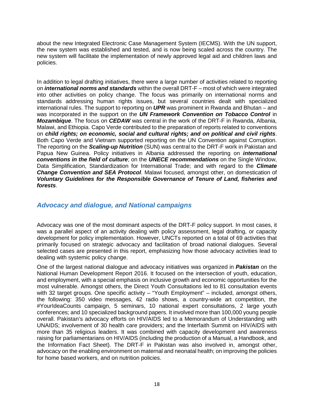about the new Integrated Electronic Case Management System (IECMS). With the UN support, the new system was established and tested, and is now being scaled across the country. The new system will facilitate the implementation of newly approved legal aid and children laws and policies.

In addition to legal drafting initiatives, there were a large number of activities related to reporting on *international norms and standards* within the overall DRT-F – most of which were integrated into other activities on policy change. The focus was primarily on international norms and standards addressing human rights issues, but several countries dealt with specialized international rules. The support to reporting on *UPR* was prominent in Rwanda and Bhutan – and was incorporated in the support on the *UN Framework Convention on Tobacco Control* in *Mozambique*. The focus on *CEDAW* was central in the work of the DRT-F in Rwanda, Albania, Malawi, and Ethiopia. Capo Verde contributed to the preparation of reports related to conventions on *child rights; on economic, social and cultural rights; and on political and civil rights*. Both Capo Verde and Vietnam supported reporting on the UN Convention against Corruption. The reporting on the *Scaling-up Nutrition* (SUN) was central to the DRT-F work in Pakistan and Papua New Guinea. Policy initiatives in Albania addressed the reporting on *international conventions in the field of culture*; on the *UNECE recommendations* on the Single Window, Data Simplification, Standardization for International Trade; and with regard to the *Climate Change Convention and SEA Protocol*. Malawi focused, amongst other, on domestication of *Voluntary Guidelines for the Responsible Governance of Tenure of Land, fisheries and forests*.

# *Advocacy and dialogue, and National campaigns*

Advocacy was one of the most dominant aspects of the DRT-F policy support. In most cases, it was a parallel aspect of an activity dealing with policy assessment, legal drafting, or capacity development for policy implementation. However, UNCTs reported on a total of 69 activities that primarily focused on strategic advocacy and facilitation of broad national dialogues. Several selected cases are presented in this report, emphasizing how those advocacy activities lead to dealing with systemic policy change.

One of the largest national dialogue and advocacy initiatives was organized in *Pakistan* on the National Human Development Report 2016. It focused on the intersection of youth, education, and employment, with a special emphasis on inclusive growth and economic opportunities for the most vulnerable. Amongst others, the Direct Youth Consultations led to 81 consultation events with 32 target groups. One specific activity – "Youth Employment" – included, amongst others, the following: 350 video messages, 42 radio shows, a country-wide art competition, the #YourIdeaCounts campaign, 5 seminars, 10 national expert consultations, 2 large youth conferences; and 10 specialized background papers. It involved more than 100,000 young people overall. Pakistan's advocacy efforts on HIV/AIDS led to a Memorandum of Understanding with UNAIDS; involvement of 30 health care providers; and the Interfaith Summit on HIV/AIDS with more than 35 religious leaders. It was combined with capacity development and awareness raising for parliamentarians on HIV/AIDS (including the production of a Manual, a Handbook, and the Information Fact Sheet). The DRT-F in Pakistan was also involved in, amongst other, advocacy on the enabling environment on maternal and neonatal health; on improving the policies for home based workers, and on nutrition policies.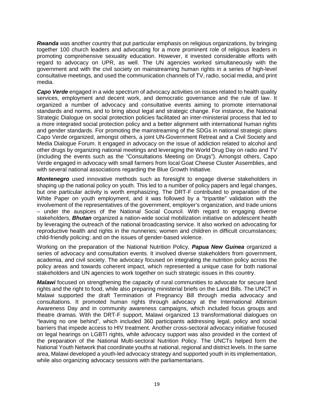*Rwanda* was another country that put particular emphasis on religious organizations, by bringing together 100 church leaders and advocating for a more prominent role of religious leaders in promoting comprehensive sexuality education. However, it invested considerable efforts with regard to advocacy on UPR, as well. The UN agencies worked simultaneously with the government and with the civil society on mainstreaming human rights in a series of high-level consultative meetings, and used the communication channels of TV, radio, social media, and print media.

*Capo Verde* engaged in a wide spectrum of advocacy activities on issues related to health quality services, employment and decent work, and democratic governance and the rule of law. It organized a number of advocacy and consultative events aiming to promote international standards and norms, and to bring about legal and strategic change. For instance, the National Strategic Dialogue on social protection policies facilitated an inter-ministerial process that led to a more integrated social protection policy and a better alignment with international human rights and gender standards. For promoting the mainstreaming of the SDGs in national strategic plans Capo Verde organized, amongst others, a joint UN-Government Retreat and a Civil Society and Media Dialogue Forum. It engaged in advocacy on the issue of addiction related to alcohol and other drugs by organizing national meetings and leveraging the World Drug Day on radio and TV (including the events such as the "Consultations Meeting on Drugs"). Amongst others, Capo Verde engaged in advocacy with small farmers from local Goat Cheese Cluster Assemblies, and with several national associations regarding the Blue Growth Initiative.

*Montenegro* used innovative methods such as foresight to engage diverse stakeholders in shaping up the national policy on youth. This led to a number of policy papers and legal changes, but one particular activity is worth emphasizing. The DRT-F contributed to preparation of the White Paper on youth employment, and it was followed by a "tripartite" validation with the involvement of the representatives of the government, employer's organization, and trade unions – under the auspices of the National Social Council. With regard to engaging diverse stakeholders, *Bhutan* organized a nation-wide social mobilization initiative on adolescent health by leveraging the outreach of the national broadcasting service. It also worked on advocating for reproductive health and rights in the nunneries; women and children in difficult circumstances; child-friendly policing; and on the issues of gender-based violence.

Working on the preparation of the National Nutrition Policy, *Papua New Guinea* organized a series of advocacy and consultation events. It involved diverse stakeholders from government, academia, and civil society. The advocacy focused on integrating the nutrition policy across the policy areas and towards coherent impact, which represented a unique case for both national stakeholders and UN agencies to work together on such strategic issues in this country.

*Malawi* focused on strengthening the capacity of rural communities to advocate for secure land rights and the right to food, while also preparing ministerial briefs on the Land Bills. The UNCT in Malawi supported the draft Termination of Pregnancy Bill through media advocacy and consultations. It promoted human rights through advocacy at the International Albinism Awareness Day and in community awareness campaigns, which included focus groups and theatre dramas. With the DRT-F support, Malawi organized 13 transformational dialogues on "leaving no one behind", which included 360 participants addressing legal, policy and social barriers that impede access to HIV treatment. Another cross-sectoral advocacy initiative focused on legal hearings on LGBTI rights, while advocacy support was also provided in the context of the preparation of the National Multi-sectoral Nutrition Policy. The UNCTs helped form the National Youth Network that coordinate youths at national, regional and district levels. In the same area, Malawi developed a youth-led advocacy strategy and supported youth in its implementation, while also organizing advocacy sessions with the parliamentarians.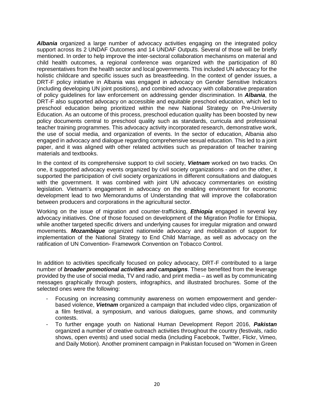*Albania* organized a large number of advocacy activities engaging on the integrated policy support across its 2 UNDAF Outcomes and 14 UNDAF Outputs. Several of those will be briefly mentioned. In order to help improve the inter-sectoral collaboration mechanisms on material and child health outcomes, a regional conference was organized with the participation of 80 representatives from the health sector and local governments. This included UN advocacy for the holistic childcare and specific issues such as breastfeeding. In the context of gender issues, a DRT-F policy initiative in Albania was engaged in advocacy on Gender Sensitive Indicators (including developing UN joint positions), and combined advocacy with collaborative preparation of policy guidelines for law enforcement on addressing gender discrimination. In *Albania*, the DRT-F also supported advocacy on accessible and equitable preschool education, which led to preschool education being prioritized within the new National Strategy on Pre-University Education. As an outcome of this process, preschool education quality has been boosted by new policy documents central to preschool quality such as standards, curricula and professional teacher training programmes. This advocacy activity incorporated research, demonstrative work, the use of social media, and organization of events. In the sector of education, Albania also engaged in advocacy and dialogue regarding comprehensive sexual education. This led to a joint paper, and it was aligned with other related activities such as preparation of teacher training materials and textbooks.

In the context of its comprehensive support to civil society, *Vietnam* worked on two tracks. On one, it supported advocacy events organized by civil society organizations - and on the other, it supported the participation of civil society organizations in different consultations and dialogues with the government. It was combined with joint UN advocacy commentaries on existing legislation. Vietnam's engagement in advocacy on the enabling environment for economic development lead to two Memorandums of Understanding that will improve the collaboration between producers and corporations in the agricultural sector.

Working on the issue of migration and counter-trafficking, *Ethiopia* engaged in several key advocacy initiatives. One of those focused on development of the Migration Profile for Ethiopia, while another targeted specific drivers and underlying causes for irregular migration and onward movements. *Mozambique* organized nationwide advocacy and mobilization of support for implementation of the National Strategy to End Child Marriage, as well as advocacy on the ratification of UN Convention- Framework Convention on Tobacco Control.

In addition to activities specifically focused on policy advocacy, DRT-F contributed to a large number of *broader promotional activities and campaigns*. These benefited from the leverage provided by the use of social media, TV and radio, and print media – as well as by communicating messages graphically through posters, infographics, and illustrated brochures. Some of the selected ones were the following:

- Focusing on increasing community awareness on women empowerment and genderbased violence, *Vietnam* organized a campaign that included video clips, organization of a film festival, a symposium, and various dialogues, game shows, and community contests.
- To further engage youth on National Human Development Report 2016, *Pakistan* organized a number of creative outreach activities throughout the country (festivals, radio shows, open events) and used social media (including Facebook, Twitter, Flickr, Vimeo, and Daily Motion). Another prominent campaign in Pakistan focused on "Women in Green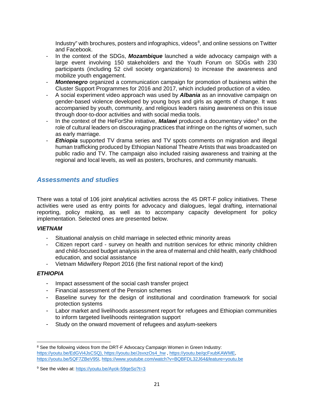Industry" with brochures, posters and infographics, videos<sup>[8](#page-20-0)</sup>, and online sessions on Twitter and Facebook.

- In the context of the SDGs, *Mozambique* launched a wide advocacy campaign with a large event involving 150 stakeholders and the Youth Forum on SDGs with 230 participants (including 52 civil society organizations) to increase the awareness and mobilize youth engagement.
- **Montenegro** organized a communication campaign for promotion of business within the Cluster Support Programmes for 2016 and 2017, which included production of a video.
- A social experiment video approach was used by *Albania* as an innovative campaign on gender-based violence developed by young boys and girls as agents of change. It was accompanied by youth, community, and religious leaders raising awareness on this issue through door-to-door activities and with social media tools.
- In the context of the HeForShe initiative, **Malawi** produced a documentary video<sup>[9](#page-20-1)</sup> on the role of cultural leaders on discouraging practices that infringe on the rights of women, such as early marriage.
- **Ethiopia** supported TV drama series and TV spots comments on migration and illegal human trafficking produced by Ethiopian National Theatre Artists that was broadcasted on public radio and TV. The campaign also included raising awareness and training at the regional and local levels, as well as posters, brochures, and community manuals.

# *Assessments and studies*

There was a total of 106 joint analytical activities across the 45 DRT-F policy initiatives. These activities were used as entry points for advocacy and dialogues, legal drafting, international reporting, policy making, as well as to accompany capacity development for policy implementation. Selected ones are presented below.

### *VIETNAM*

- Situational analysis on child marriage in selected ethnic minority areas
- Citizen report card survey on health and nutrition services for ethnic minority children and child-focused budget analysis in the area of maternal and child health, early childhood education, and social assistance
- Vietnam Midwifery Report 2016 (the first national report of the kind)

# *ETHIOPIA*

- Impact assessment of the social cash transfer project
- Financial assessment of the Pension schemes
- Baseline survey for the design of institutional and coordination framework for social protection systems
- Labor market and livelihoods assessment report for refugees and Ethiopian communities to inform targeted livelihoods reintegration support
- Study on the onward movement of refugees and asylum-seekers

<span id="page-20-0"></span>l <sup>8</sup> See the following videos from the DRT-F Advocacy Campaign Women in Green Industry: [https://youtu.be/EdGVi4JsCSQ\)](https://youtu.be/EdGVi4JsCSQ), [https://youtu.be/JsvxzOs4\\_hw](https://youtu.be/JsvxzOs4_hw) [, https://youtu.be/qcFxubKAWME,](https://youtu.be/qcFxubKAWME) [https://youtu.be/5QF7ZBeV95I,](https://youtu.be/5QF7ZBeV95I)<https://www.youtube.com/watch?v=BQBFDL32J64&feature=youtu.be>

<span id="page-20-1"></span><sup>&</sup>lt;sup>9</sup> See the video at:<https://youtu.be/Ayok-59qeSo?t=3>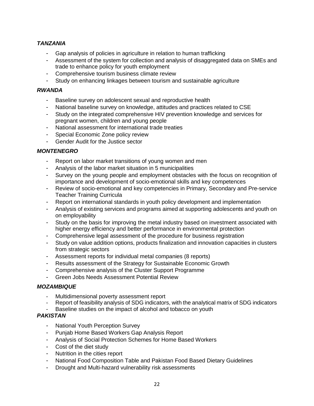# *TANZANIA*

- Gap analysis of policies in agriculture in relation to human trafficking
- Assessment of the system for collection and analysis of disaggregated data on SMEs and trade to enhance policy for youth employment
- Comprehensive tourism business climate review
- Study on enhancing linkages between tourism and sustainable agriculture

### *RWANDA*

- Baseline survey on adolescent sexual and reproductive health
- National baseline survey on knowledge, attitudes and practices related to CSE
- Study on the integrated comprehensive HIV prevention knowledge and services for pregnant women, children and young people
- National assessment for international trade treaties
- Special Economic Zone policy review
- Gender Audit for the Justice sector

## *MONTENEGRO*

- Report on labor market transitions of young women and men
- Analysis of the labor market situation in 5 municipalities
- Survey on the young people and employment obstacles with the focus on recognition of importance and development of socio-emotional skills and key competences
- Review of socio-emotional and key competencies in Primary, Secondary and Pre-service Teacher Training Curricula
- Report on international standards in youth policy development and implementation
- Analysis of existing services and programs aimed at supporting adolescents and youth on on employability
- Study on the basis for improving the metal industry based on investment associated with higher energy efficiency and better performance in environmental protection
- Comprehensive legal assessment of the procedure for business registration
- Study on value addition options, products finalization and innovation capacities in clusters from strategic sectors
- Assessment reports for individual metal companies (8 reports)
- Results assessment of the Strategy for Sustainable Economic Growth
- Comprehensive analysis of the Cluster Support Programme
- Green Jobs Needs Assessment Potential Review

### *MOZAMBIQUE*

- Multidimensional poverty assessment report
- Report of feasibility analysis of SDG indicators, with the analytical matrix of SDG indicators
- Baseline studies on the impact of alcohol and tobacco on youth

# *PAKISTAN*

- National Youth Perception Survey
- Punjab Home Based Workers Gap Analysis Report
- Analysis of Social Protection Schemes for Home Based Workers
- Cost of the diet study
- Nutrition in the cities report
- National Food Composition Table and Pakistan Food Based Dietary Guidelines
- Drought and Multi-hazard vulnerability risk assessments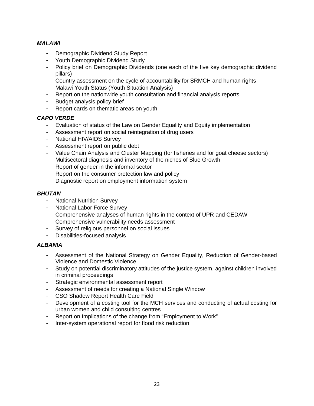## *MALAWI*

- Demographic Dividend Study Report
- Youth Demographic Dividend Study
- Policy brief on Demographic Dividends (one each of the five key demographic dividend pillars)
- Country assessment on the cycle of accountability for SRMCH and human rights
- Malawi Youth Status (Youth Situation Analysis)
- Report on the nationwide youth consultation and financial analysis reports
- Budget analysis policy brief
- Report cards on thematic areas on youth

## *CAPO VERDE*

- Evaluation of status of the Law on Gender Equality and Equity implementation
- Assessment report on social reintegration of drug users
- National HIV/AIDS Survey
- Assessment report on public debt
- Value Chain Analysis and Cluster Mapping (for fisheries and for goat cheese sectors)
- Multisectoral diagnosis and inventory of the niches of Blue Growth
- Report of gender in the informal sector
- Report on the consumer protection law and policy
- Diagnostic report on employment information system

## *BHUTAN*

- National Nutrition Survey
- National Labor Force Survey
- Comprehensive analyses of human rights in the context of UPR and CEDAW
- Comprehensive vulnerability needs assessment
- Survey of religious personnel on social issues
- Disabilities-focused analysis

### *ALBANIA*

- Assessment of the National Strategy on Gender Equality, Reduction of Gender-based Violence and Domestic Violence
- Study on potential discriminatory attitudes of the justice system, against children involved in criminal proceedings
- Strategic environmental assessment report
- Assessment of needs for creating a National Single Window
- CSO Shadow Report Health Care Field
- Development of a costing tool for the MCH services and conducting of actual costing for urban women and child consulting centres
- Report on Implications of the change from "Employment to Work"
- Inter-system operational report for flood risk reduction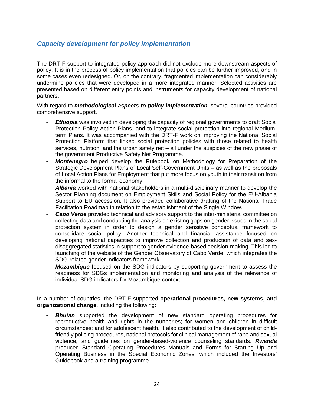# *Capacity development for policy implementation*

The DRT-F support to integrated policy approach did not exclude more downstream aspects of policy. It is in the process of policy implementation that policies can be further improved, and in some cases even redesigned. Or, on the contrary, fragmented implementation can considerably undermine policies that were developed in a more integrated manner. Selected activities are presented based on different entry points and instruments for capacity development of national partners.

With regard to *methodological aspects to policy implementation*, several countries provided comprehensive support.

- **Ethiopia** was involved in developing the capacity of regional governments to draft Social Protection Policy Action Plans, and to integrate social protection into regional Mediumterm Plans. It was accompanied with the DRT-F work on improving the National Social Protection Platform that linked social protection policies with those related to health services, nutrition, and the urban safety net – all under the auspices of the new phase of the government Productive Safety Net Programme.
- **Montenegro** helped develop the Rulebook on Methodology for Preparation of the Strategic Development Plans of Local Self-Government Units – as well as the proposals of Local Action Plans for Employment that put more focus on youth in their transition from the informal to the formal economy.
- Albania worked with national stakeholders in a multi-disciplinary manner to develop the Sector Planning document on Employment Skills and Social Policy for the EU-Albania Support to EU accession. It also provided collaborative drafting of the National Trade Facilitation Roadmap in relation to the establishment of the Single Window.
- **Capo Verde** provided technical and advisory support to the inter-ministerial committee on collecting data and conducting the analysis on existing gaps on gender issues in the social protection system in order to design a gender sensitive conceptual framework to consolidate social policy. Another technical and financial assistance focused on developing national capacities to improve collection and production of data and sexdisaggregated statistics in support to gender evidence-based decision-making. This led to launching of the website of the Gender Observatory of Cabo Verde, which integrates the SDG-related gender indicators framework.
- **Mozambique** focused on the SDG indicators by supporting government to assess the readiness for SDGs implementation and monitoring and analysis of the relevance of individual SDG indicators for Mozambique context.

In a number of countries, the DRT-F supported **operational procedures, new systems, and organizational change**, including the following:

**Bhutan** supported the development of new standard operating procedures for reproductive health and rights in the nunneries; for women and children in difficult circumstances; and for adolescent health. It also contributed to the development of childfriendly policing procedures, national protocols for clinical management of rape and sexual violence, and guidelines on gender-based-violence counseling standards. *Rwanda* produced Standard Operating Procedures Manuals and Forms for Starting Up and Operating Business in the Special Economic Zones, which included the Investors' Guidebook and a training programme.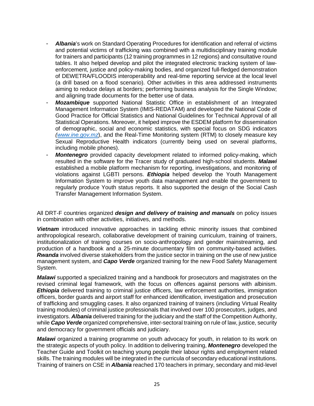- Albania's work on Standard Operating Procedures for identification and referral of victims and potential victims of trafficking was combined with a multidisciplinary training module for trainers and participants (12 training programmes in 12 regions) and consultative round tables. It also helped develop and pilot the integrated electronic tracking system of lawenforcement, justice and policy-making bodies, and organized full-fledged demonstration of DEWETRA/FLOODIS interoperability and real-time reporting service at the local level (a drill based on a flood scenario). Other activities in this area addressed instruments aiming to reduce delays at borders; performing business analysis for the Single Window; and aligning trade documents for the better use of data.
- *Mozambique* supported National Statistic Office in establishment of an Integrated Management Information System (IMIS-REDATAM) and developed the National Code of Good Practice for Official Statistics and National Guidelines for Technical Approval of all Statistical Operations. Moreover, it helped improve the ESDEM platform for dissemination of demographic, social and economic statistics, with special focus on SDG indicators *[\(www.ine.gov.mz](http://www.ine.gov.mz/)*), and the Real-Time Monitoring system (RTM) to closely measure key Sexual Reproductive Health indicators (currently being used on several platforms, including mobile phones).
- Montenegro provided capacity development related to informed policy-making, which resulted in the software for the Tracer study of graduated high-school students. *Malawi* established a mobile platform mechanism for reporting, investigations, and monitoring of violations against LGBTI persons. *Ethiopia* helped develop the Youth Management Information System to improve youth data management and enable the government to regularly produce Youth status reports. It also supported the design of the Social Cash Transfer Management Information System.

All DRT-F countries organized *design and delivery of training and manuals* on policy issues in combination with other activities, initiatives, and methods.

*Vietnam* introduced innovative approaches in tackling ethnic minority issues that combined anthropological research, collaborative development of training curriculum, training of trainers, institutionalization of training courses on socio-anthropology and gender mainstreaming, and production of a handbook and a 25-minute documentary film on community-based activities. *Rwanda* involved diverse stakeholders from the justice sector in training on the use of new justice management system, and *Capo Verde* organized training for the new Food Safety Management System.

*Malawi* supported a specialized training and a handbook for prosecutors and magistrates on the revised criminal legal framework, with the focus on offences against persons with albinism. **Ethiopia** delivered training to criminal justice officers, law enforcement authorities, immigration officers, border guards and airport staff for enhanced identification, investigation and prosecution of trafficking and smuggling cases. It also organized training of trainers (including Virtual Reality training modules) of criminal justice professionals that involved over 100 prosecutors, judges, and investigators. *Albania* delivered training for the judiciary and the staff of the Competition Authority, while *Capo Verde* organized comprehensive, inter-sectoral training on rule of law, justice, security and democracy for government officials and judiciary.

*Malawi* organized a training programme on youth advocacy for youth, in relation to its work on the strategic aspects of youth policy. In addition to delivering training, *Montenegro* developed the Teacher Guide and Toolkit on teaching young people their labour rights and employment related skills. The training modules will be integrated in the curricula of secondary educational institutions. Training of trainers on CSE in *Albania* reached 170 teachers in primary, secondary and mid-level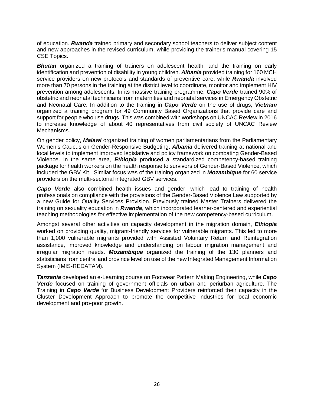of education. *Rwanda* trained primary and secondary school teachers to deliver subject content and new approaches in the revised curriculum, while providing the trainer's manual covering 15 CSE Topics.

**Bhutan** organized a training of trainers on adolescent health, and the training on early identification and prevention of disability in young children. *Albania* provided training for 160 MCH service providers on new protocols and standards of preventive care, while *Rwanda* involved more than 70 persons in the training at the district level to coordinate, monitor and implement HIV prevention among adolescents. In its massive training programme, *Capo Verde* trained 90% of obstetric and neonatal technicians from maternities and neonatal services in Emergency Obstetric and Neonatal Care. In addition to the training in *Capo Verde* on the use of drugs, *Vietnam* organized a training program for 49 Community Based Organizations that provide care and support for people who use drugs. This was combined with workshops on UNCAC Review in 2016 to increase knowledge of about 40 representatives from civil society of UNCAC Review Mechanisms.

On gender policy, *Malawi* organized training of women parliamentarians from the Parliamentary Women's Caucus on Gender-Responsive Budgeting. *Albania* delivered training at national and local levels to implement improved legislative and policy framework on combating Gender-Based Violence. In the same area, *Ethiopia* produced a standardized competency-based training package for health workers on the health response to survivors of Gender-Based Violence, which included the GBV Kit. Similar focus was of the training organized in *Mozambique* for 60 service providers on the multi-sectorial integrated GBV services.

*Capo Verde* also combined health issues and gender, which lead to training of health professionals on compliance with the provisions of the Gender-Based Violence Law supported by a new Guide for Quality Services Provision. Previously trained Master Trainers delivered the training on sexuality education in *Rwanda*, which incorporated learner-centered and experiential teaching methodologies for effective implementation of the new competency-based curriculum.

Amongst several other activities on capacity development in the migration domain, *Ethiopia* worked on providing quality, migrant-friendly services for vulnerable migrants. This led to more than 1,000 vulnerable migrants provided with Assisted Voluntary Return and Reintegration assistance, improved knowledge and understanding on labour migration management and irregular migration needs. *Mozambique* organized the training of the 130 planners and statisticians from central and province level on use of the new Integrated Management Information System (IMIS-REDATAM).

*Tanzania* developed an e-Learning course on Footwear Pattern Making Engineering, while *Capo Verde* focused on training of government officials on urban and periurban agriculture. The Training in *Capo Verde* for Business Development Providers reinforced their capacity in the Cluster Development Approach to promote the competitive industries for local economic development and pro-poor growth.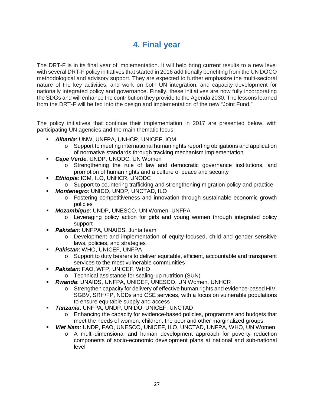# **4. Final year**

The DRT-F is in its final year of implementation. It will help bring current results to a new level with several DRT-F policy initiatives that started in 2016 additionally benefiting from the UN DOCO methodological and advisory support. They are expected to further emphasize the multi-sectoral nature of the key activities, and work on both UN integration, and capacity development for nationally integrated policy and governance. Finally, these initiatives are now fully incorporating the SDGs and will enhance the contribution they provide to the Agenda 2030. The lessons learned from the DRT-F will be fed into the design and implementation of the new "Joint Fund."

The policy initiatives that continue their implementation in 2017 are presented below, with participating UN agencies and the main thematic focus:

- *Albania*: UNW, UNFPA, UNHCR, UNICEF, IOM
	- o Support to meeting international human rights reporting obligations and application of normative standards through tracking mechanism implementation
- *Cape Verde*: UNDP, UNODC, UN Women
	- o Strengthening the rule of law and democratic governance institutions, and promotion of human rights and a culture of peace and security
- *Ethiopia*: IOM, ILO, UNHCR, UNODC
- o Support to countering trafficking and strengthening migration policy and practice *Montenegro*: UNIDO, UNDP, UNCTAD, ILO
	- o Fostering competitiveness and innovation through sustainable economic growth policies
- *Mozambique*: UNDP, UNESCO, UN Women, UNFPA
	- o Leveraging policy action for girls and young women through integrated policy support
- *Pakistan*: UNFPA, UNAIDS, Junta team
	- o Development and implementation of equity-focused, child and gender sensitive laws, policies, and strategies
- *Pakistan*: WHO, UNICEF, UNFPA
	- o Support to duty bearers to deliver equitable, efficient, accountable and transparent services to the most vulnerable communities
- *Pakistan*: FAO, WFP, UNICEF, WHO
	- o Technical assistance for scaling-up nutrition (SUN)
- *Rwanda*: UNAIDS, UNFPA, UNICEF, UNESCO, UN Women, UNHCR
	- o Strengthen capacity for delivery of effective human rights and evidence-based HIV, SGBV, SRH/FP, NCDs and CSE services, with a focus on vulnerable populations to ensure equitable supply and access
- *Tanzania*: UNFPA, UNDP, UNIDO, UNICEF, UNCTAD
	- o Enhancing the capacity for evidence-based policies, programme and budgets that meet the needs of women, children, the poor and other marginalized groups
- *Viet Nam*: UNDP, FAO, UNESCO, UNICEF, ILO, UNCTAD, UNFPA, WHO, UN Women
	- o A multi-dimensional and human development approach for poverty reduction components of socio-economic development plans at national and sub-national level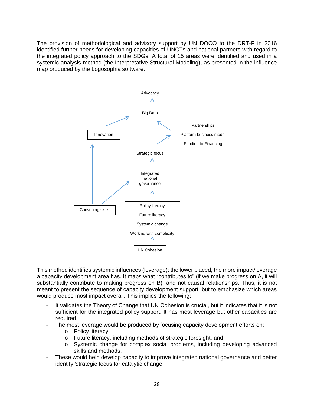The provision of methodological and advisory support by UN DOCO to the DRT-F in 2016 identified further needs for developing capacities of UNCTs and national partners with regard to the integrated policy approach to the SDGs. A total of 15 areas were identified and used in a systemic analysis method (the Interpretative Structural Modeling), as presented in the influence map produced by the Logosophia software.



This method identifies systemic influences (leverage): the lower placed, the more impact/leverage a capacity development area has. It maps what "contributes to" (if we make progress on A, it will substantially contribute to making progress on B), and not causal relationships. Thus, it is not meant to present the sequence of capacity development support, but to emphasize which areas would produce most impact overall. This implies the following:

- It validates the Theory of Change that UN Cohesion is crucial, but it indicates that it is not sufficient for the integrated policy support. It has most leverage but other capacities are required.
- The most leverage would be produced by focusing capacity development efforts on:
	- o Policy literacy,
	- o Future literacy, including methods of strategic foresight, and
	- o Systemic change for complex social problems, including developing advanced skills and methods.
- These would help develop capacity to improve integrated national governance and better identify Strategic focus for catalytic change.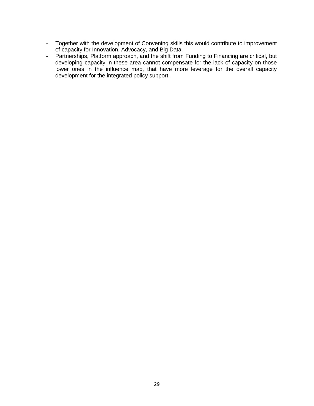- Together with the development of Convening skills this would contribute to improvement of capacity for Innovation, Advocacy, and Big Data.
- Partnerships, Platform approach, and the shift from Funding to Financing are critical, but developing capacity in these area cannot compensate for the lack of capacity on those lower ones in the influence map, that have more leverage for the overall capacity development for the integrated policy support.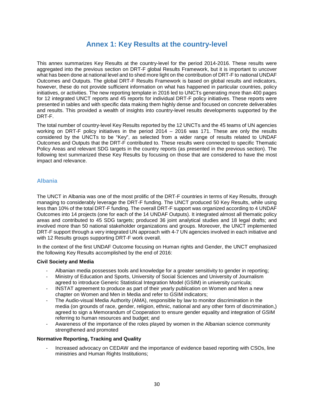# **Annex 1: Key Results at the country-level**

This annex summarizes Key Results at the country-level for the period 2014-2016. These results were aggregated into the previous section on DRT-F global Results Framework, but it is important to uncover what has been done at national level and to shed more light on the contribution of DRT-F to national UNDAF Outcomes and Outputs. The global DRT-F Results Framework is based on global results and indicators, however, these do not provide sufficient information on what has happened in particular countries, policy initiatives, or activities. The new reporting template in 2016 led to UNCTs generating more than 400 pages for 12 integrated UNCT reports and 45 reports for individual DRT-F policy initiatives. These reports were presented in tables and with specific data making them highly dense and focused on concrete deliverables and results. This provided a wealth of insights into country-level results developments supported by the DRT-F.

The total number of country-level Key Results reported by the 12 UNCTs and the 45 teams of UN agencies working on DRT-F policy initiatives in the period 2014 – 2016 was 171. These are only the results considered by the UNCTs to be "Key", as selected from a wider range of results related to UNDAF Outcomes and Outputs that the DRT-F contributed to. These results were connected to specific Thematic Policy Areas and relevant SDG targets in the country reports (as presented in the previous section). The following text summarized these Key Results by focusing on those that are considered to have the most impact and relevance.

#### **Albania**

The UNCT in Albania was one of the most prolific of the DRT-F countries in terms of Key Results, through managing to considerably leverage the DRT-F funding. The UNCT produced 50 Key Results, while using less than 10% of the total DRT-F funding. The overall DRT-F support was organized according to 4 UNDAF Outcomes into 14 projects (one for each of the 14 UNDAF Outputs). It integrated almost all thematic policy areas and contributed to 45 SDG targets; produced 36 joint analytical studies and 18 legal drafts; and involved more than 50 national stakeholder organizations and groups. Moreover, the UNCT implemented DRT-F support through a very integrated UN approach with 4-7 UN agencies involved in each initiative and with 12 Results groups supporting DRT-F work overall.

In the context of the first UNDAF Outcome focusing on Human rights and Gender, the UNCT emphasized the following Key Results accomplished by the end of 2016:

#### **Civil Society and Media**

- Albanian media possesses tools and knowledge for a greater sensitivity to gender in reporting;
- Ministry of Education and Sports, University of Social Sciences and University of Journalism agreed to introduce Generic Statistical Integration Model (GSIM) in university curricula;
- INSTAT agreement to produce as part of their yearly publication on Women and Men a new chapter on Women and Men in Media and refer to GSIM indicators;
- The Audio-visual Media Authority (AMA), responsible by law to monitor discrimination in the media (on grounds of race, gender, religion, ethnic, national and any other form of discrimination,) agreed to sign a Memorandum of Cooperation to ensure gender equality and integration of GSIM referring to human resources and budget; and
- Awareness of the importance of the roles played by women in the Albanian science community strengthened and promoted

#### **Normative Reporting, Tracking and Quality**

Increased advocacy on CEDAW and the importance of evidence based reporting with CSOs, line ministries and Human Rights Institutions;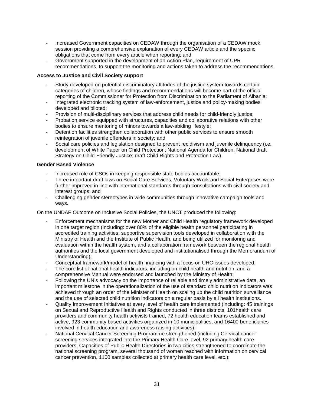- Increased Government capacities on CEDAW through the organisation of a CEDAW mock session providing a comprehensive explanation of every CEDAW article and the specific obligations that come from every article when reporting; and
- Government supported in the development of an Action Plan, requirement of UPR recommendations, to support the monitoring and actions taken to address the recommendations.

#### **Access to Justice and Civil Society support**

- Study developed on potential discriminatory attitudes of the justice system towards certain categories of children, whose findings and recommendations will become part of the official reporting of the Commissioner for Protection from Discrimination to the Parliament of Albania;
- Integrated electronic tracking system of law-enforcement, justice and policy-making bodies developed and piloted;
- Provision of multi-disciplinary services that address child needs for child-friendly justice;<br>- Probation service equipped with structures, capacities and collaborative relations with other
- Probation service equipped with structures, capacities and collaborative relations with other bodies to ensure mentoring of minors towards a law-abiding lifestyle;
- Detention facilities strengthen collaboration with other public services to ensure smooth reintegration of juvenile offenders in society; and
- Social care policies and legislation designed to prevent recidivism and juvenile delinguency (i.e. development of White Paper on Child Protection; National Agenda for Children; National draft Strategy on Child-Friendly Justice; draft Child Rights and Protection Law).

#### **Gender Based Violence**

- Increased role of CSOs in keeping responsible state bodies accountable;
- Three important draft laws on Social Care Services, Voluntary Work and Social Enterprises were further improved in line with international standards through consultations with civil society and interest groups; and
- Challenging gender stereotypes in wide communities through innovative campaign tools and ways.

On the UNDAF Outcome on Inclusive Social Policies, the UNCT produced the following:

- Enforcement mechanisms for the new Mother and Child Health regulatory framework developed in one target region (including: over 80% of the eligible health personnel participating in accredited training activities; supportive supervision tools developed in collaboration with the Ministry of Health and the Institute of Public Health, and being utilized for monitoring and evaluation within the health system, and a collaboration framework between the regional health authorities and the local government developed and institutionalised through the Memorandum of Understanding);
- Conceptual framework/model of health financing with a focus on UHC issues developed;
- The core list of national health indicators, including on child health and nutrition, and a comprehensive Manual were endorsed and launched by the Ministry of Health;
- Following the UN's advocacy on the importance of reliable and timely administrative data, an important milestone in the operationalization of the use of standard child nutrition indicators was achieved through an order of the Minister of Health on scaling up the child nutrition surveillance and the use of selected child nutrition indicators on a regular basis by all health institutions.
- Quality Improvement Initiatives at every level of health care implemented (including: 45 trainings on Sexual and Reproductive Health and Rights conducted in three districts, 101health care providers and community health activists trained, 72 health education teams established and active, 923 community based activities organized in 10 municipalities, and 16400 beneficiaries involved in health education and awareness raising activities);
- National Cervical Cancer Screening Programme strengthened (including Cervical cancer screening services integrated into the Primary Health Care level, 92 primary health care providers, Capacities of Public Health Directories in two cities strengthened to coordinate the national screening program, several thousand of women reached with information on cervical cancer prevention, 1100 samples collected at primary health care level, etc.);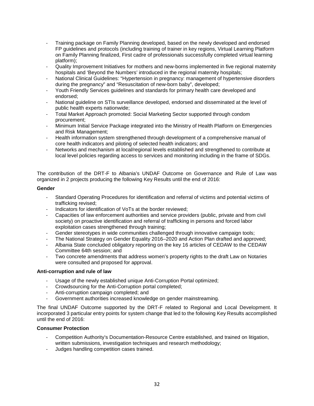- Training package on Family Planning developed, based on the newly developed and endorsed FP guidelines and protocols (including training of trainer in key regions, Virtual Learning Platform on Family Planning finalized, First cadre of professionals successfully completed virtual learning platform);
- Quality Improvement Initiatives for mothers and new-borns implemented in five regional maternity hospitals and 'Beyond the Numbers' introduced in the regional maternity hospitals;
- National Clinical Guidelines: "Hypertension in pregnancy: management of hypertensive disorders during the pregnancy" and "Resuscitation of new-born baby", developed;
- Youth Friendly Services guidelines and standards for primary health care developed and endorsed;
- National guideline on STIs surveillance developed, endorsed and disseminated at the level of public health experts nationwide;
- Total Market Approach promoted: Social Marketing Sector supported through condom procurement;
- Minimum Initial Service Package integrated into the Ministry of Health Platform on Emergencies and Risk Management;
- Health information system strengthened through development of a comprehensive manual of core health indicators and piloting of selected health indicators; and
- Networks and mechanism at local/regional levels established and strengthened to contribute at local level policies regarding access to services and monitoring including in the frame of SDGs.

The contribution of the DRT-F to Albania's UNDAF Outcome on Governance and Rule of Law was organized in 2 projects producing the following Key Results until the end of 2016:

#### **Gender**

- Standard Operating Procedures for identification and referral of victims and potential victims of trafficking revised;
- Indicators for identification of VoTs at the border reviewed;
- Capacities of law enforcement authorities and service providers (public, private and from civil society) on proactive identification and referral of trafficking in persons and forced labor exploitation cases strengthened through training;
- Gender stereotypes in wide communities challenged through innovative campaign tools;
- The National Strategy on Gender Equality 2016–2020 and Action Plan drafted and approved;
- Albania State concluded obligatory reporting on the key 16 articles of CEDAW to the CEDAW Committee 64th session; and
- Two concrete amendments that address women's property rights to the draft Law on Notaries were consulted and proposed for approval.

#### **Anti-corruption and rule of law**

- Usage of the newly established unique Anti-Corruption Portal optimized;
- Crowdsourcing for the Anti-Corruption portal completed;
- Anti-corruption campaign completed; and
- Government authorities increased knowledge on gender mainstreaming.

The final UNDAF Outcome supported by the DRT-F related to Regional and Local Development. It incorporated 3 particular entry points for system change that led to the following Key Results accomplished until the end of 2016:

#### **Consumer Protection**

- Competition Authority's Documentation-Resource Centre established, and trained on litigation, written submissions, investigation techniques and research methodology;
- Judges handling competition cases trained.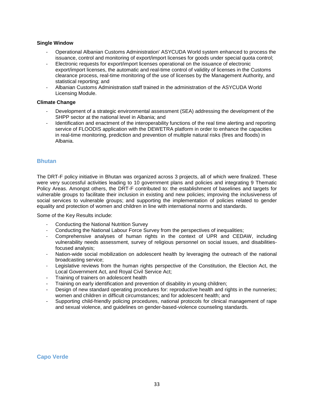#### **Single Window**

- Operational Albanian Customs Administration' ASYCUDA World system enhanced to process the issuance, control and monitoring of export/import licenses for goods under special quota control;
- Electronic requests for export/import licenses operational on the issuance of electronic export/import licenses, the automatic and real-time control of validity of licenses in the Customs clearance process, real-time monitoring of the use of licenses by the Management Authority, and statistical reporting; and
- Albanian Customs Administration staff trained in the administration of the ASYCUDA World Licensing Module.

#### **Climate Change**

- Development of a strategic environmental assessment (SEA) addressing the development of the SHPP sector at the national level in Albania; and
- Identification and enactment of the interoperability functions of the real time alerting and reporting service of FLOODIS application with the DEWETRA platform in order to enhance the capacities in real-time monitoring, prediction and prevention of multiple natural risks (fires and floods) in Albania.

#### **Bhutan**

The DRT-F policy initiative in Bhutan was organized across 3 projects, all of which were finalized. These were very successful activities leading to 10 government plans and policies and integrating 9 Thematic Policy Areas. Amongst others, the DRT-F contributed to: the establishment of baselines and targets for vulnerable groups to facilitate their inclusion in existing and new policies; improving the inclusiveness of social services to vulnerable groups; and supporting the implementation of policies related to gender equality and protection of women and children in line with international norms and standards.

Some of the Key Results include:

- Conducting the National Nutrition Survey
- Conducting the National Labour Force Survey from the perspectives of inequalities;
- Comprehensive analyses of human rights in the context of UPR and CEDAW, including vulnerability needs assessment, survey of religious personnel on social issues, and disabilitiesfocused analysis;
- Nation-wide social mobilization on adolescent health by leveraging the outreach of the national broadcasting service;
- Legislative reviews from the human rights perspective of the Constitution, the Election Act, the Local Government Act, and Royal Civil Service Act;
- Training of trainers on adolescent health
- Training on early identification and prevention of disability in young children;
- Design of new standard operating procedures for: reproductive health and rights in the nunneries; women and children in difficult circumstances; and for adolescent health; and
- Supporting child-friendly policing procedures, national protocols for clinical management of rape and sexual violence, and guidelines on gender-based-violence counseling standards.

**Capo Verde**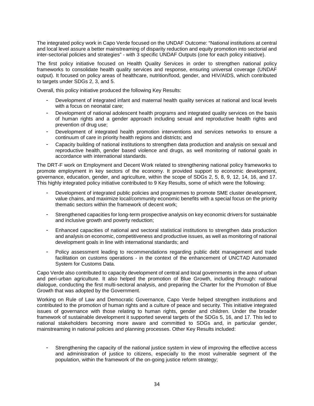The integrated policy work in Capo Verde focused on the UNDAF Outcome: "National institutions at central and local level assure a better mainstreaming of disparity reduction and equity promotion into sectorial and inter-sectorial policies and strategies" - with 3 specific UNDAF Outputs (one for each policy initiative).

The first policy initiative focused on Health Quality Services in order to strengthen national policy frameworks to consolidate health quality services and response, ensuring universal coverage (UNDAF output). It focused on policy areas of healthcare, nutrition/food, gender, and HIV/AIDS, which contributed to targets under SDGs 2, 3, and 5.

Overall, this policy initiative produced the following Key Results:

- Development of integrated infant and maternal health quality services at national and local levels with a focus on neonatal care;
- Development of national adolescent health programs and integrated quality services on the basis of human rights and a gender approach including sexual and reproductive health rights and prevention of drug use;
- Development of integrated health promotion interventions and services networks to ensure a continuum of care in priority health regions and districts; and
- Capacity building of national institutions to strengthen data production and analysis on sexual and reproductive health, gender based violence and drugs, as well monitoring of national goals in accordance with international standards.

The DRT-F work on Employment and Decent Work related to strengthening national policy frameworks to promote employment in key sectors of the economy. It provided support to economic development, governance, education, gender, and agriculture, within the scope of SDGs 2, 5, 8, 9, 12, 14, 16, and 17. This highly integrated policy initiative contributed to 9 Key Results, some of which were the following:

- Development of integrated public policies and programmes to promote SME cluster development, value chains, and maximize local/community economic benefits with a special focus on the priority thematic sectors within the framework of decent work;
- Strengthened capacities for long-term prospective analysis on key economic drivers for sustainable and inclusive growth and poverty reduction;
- Enhanced capacities of national and sectoral statistical institutions to strengthen data production and analysis on economic, competitiveness and productive issues, as well as monitoring of national development goals in line with international standards; and
- Policy assessment leading to recommendations regarding public debt management and trade facilitation on customs operations - in the context of the enhancement of UNCTAD Automated System for Customs Data.

Capo Verde also contributed to capacity development of central and local governments in the area of urban and peri-urban agriculture. It also helped the promotion of Blue Growth, including through: national dialogue, conducting the first multi-sectoral analysis, and preparing the Charter for the Promotion of Blue Growth that was adopted by the Government.

Working on Rule of Law and Democratic Governance, Capo Verde helped strengthen institutions and contributed to the promotion of human rights and a culture of peace and security. This initiative integrated issues of governance with those relating to human rights, gender and children. Under the broader framework of sustainable development it supported several targets of the SDGs 5, 16, and 17. This led to national stakeholders becoming more aware and committed to SDGs and, in particular gender, mainstreaming in national policies and planning processes. Other Key Results included:

- Strengthening the capacity of the national justice system in view of improving the effective access and administration of justice to citizens, especially to the most vulnerable segment of the population, within the framework of the on-going justice reform strategy;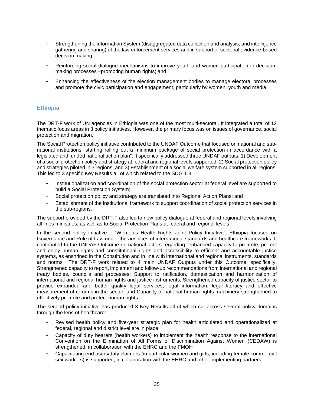- Strengthening the information System (disaggregated data collection and analysis, and intelligence gathering and sharing) of the law enforcement services and in support of sectorial evidence-based decision making;
- Reinforcing social dialogue mechanisms to improve youth and women participation in decisionmaking processes –promoting human rights; and
- Enhancing the effectiveness of the election management bodies to manage electoral processes and promote the civic participation and engagement, particularly by women, youth and media.

# **Ethiopia**

The DRT-F work of UN agencies in Ethiopia was one of the most multi-sectoral. It integrated a total of 12 thematic focus areas in 3 policy initiatives. However, the primary focus was on issues of governance, social protection and migration.

The Social Protection policy initiative contributed to the UNDAF Outcome that focused on national and subnational institutions "starting rolling out a minimum package of social protection in accordance with a legislated and funded national action plan". It specifically addressed three UNDAF outputs: 1) Development of a social protection policy and strategy at federal and regional levels supported; 2) Social protection policy and strategies piloted in 3 regions; and 3) Establishment of a social welfare system supported in all regions. This led to 3 specific Key Results all of which related to the SDG 1.3:

- Institutionalization and coordination of the social protection sector at federal level are supported to build a Social Protection System;
- Social protection policy and strategy are translated into Regional Action Plans; and
- Establishment of the institutional framework to support coordination of social protection services in the sub-regions.

The support provided by the DRT-F also led to new policy dialogue at federal and regional levels involving all lines ministries, as well as to Social Protection Plans at federal and regional levels.

In the second policy initiative – "Women's Health Rights Joint Policy Initiative", Ethiopia focused on Governance and Rule of Law under the auspices of international standards and healthcare frameworks. It contributed to the UNDAF Outcome on national actors regarding "enhanced capacity to promote, protect and enjoy human rights and constitutional rights and accessibility to efficient and accountable justice systems, as enshrined in the Constitution and in line with international and regional instruments, standards and norms". The DRT-F work related to 4 main UNDAF Outputs under this Outcome, specifically: Strengthened capacity to report, implement and follow-up recommendations from international and regional treaty bodies, councils and processes; Support to ratification, domestication and harmonization of international and regional human rights and justice instruments; Strengthened capacity of justice sector to provide expanded and better quality legal services, legal information, legal literacy and effective measurement of reforms in the sector; and Capacity of national human rights machinery strengthened to effectively promote and protect human rights.

The second policy initiative has produced 3 Key Results all of which cut across several policy domains through the lens of healthcare:

- Revised health policy and five-year strategic plan for health articulated and operationalized at federal, regional and district level are in place
- Capacity of duty bearers (health workers) to implement the health response to the international Convention on the Elimination of All Forms of Discrimination Against Women (CEDAW) is strengthened, in collaboration with the EHRC and the FMOH
- Capacitating end users/duty claimers (in particular women and girls, including female commercial sex workers) is supported, in collaboration with the EHRC and other implementing partners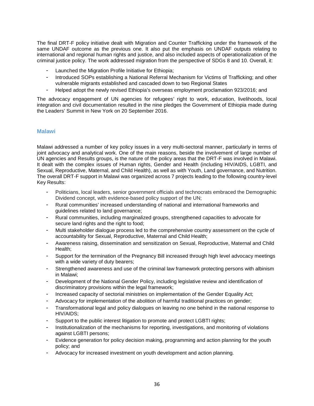The final DRT-F policy initiative dealt with Migration and Counter Trafficking under the framework of the same UNDAF outcome as the previous one. It also put the emphasis on UNDAF outputs relating to international and regional human rights and justice, and also included aspects of operationalization of the criminal justice policy. The work addressed migration from the perspective of SDGs 8 and 10. Overall, it:

- Launched the Migration Profile Initiative for Ethiopia;
- Introduced SOPs establishing a National Referral Mechanism for Victims of Trafficking; and other vulnerable migrants established and cascaded down to two Regional States
- Helped adopt the newly revised Ethiopia's overseas employment proclamation 923/2016; and

The advocacy engagement of UN agencies for refugees' right to work, education, livelihoods, local integration and civil documentation resulted in the nine pledges the Government of Ethiopia made during the Leaders' Summit in New York on 20 September 2016.

#### **Malawi**

Malawi addressed a number of key policy issues in a very multi-sectoral manner, particularly in terms of joint advocacy and analytical work. One of the main reasons, beside the involvement of large number of UN agencies and Results groups, is the nature of the policy areas that the DRT-F was involved in Malawi. It dealt with the complex issues of Human rights, Gender and Health (including HIV/AIDS, LGBTI, and Sexual, Reproductive, Maternal, and Child Health), as well as with Youth, Land governance, and Nutrition. The overall DRT-F support in Malawi was organized across 7 projects leading to the following country-level Key Results:

- Politicians, local leaders, senior government officials and technocrats embraced the Demographic Dividend concept, with evidence-based policy support of the UN;
- Rural communities' increased understanding of national and international frameworks and guidelines related to land governance;
- Rural communities, including marginalized groups, strengthened capacities to advocate for secure land rights and the right to food;
- Multi stakeholder dialogue process led to the comprehensive country assessment on the cycle of accountability for Sexual, Reproductive, Maternal and Child Health;
- Awareness raising, dissemination and sensitization on Sexual, Reproductive, Maternal and Child Health;
- Support for the termination of the Pregnancy Bill increased through high level advocacy meetings with a wide variety of duty bearers;
- Strengthened awareness and use of the criminal law framework protecting persons with albinism in Malawi;
- Development of the National Gender Policy, including legislative review and identification of discriminatory provisions within the legal framework;
- Increased capacity of sectorial ministries on implementation of the Gender Equality Act;
- Advocacy for implementation of the abolition of harmful traditional practices on gender;
- Transformational legal and policy dialogues on leaving no one behind in the national response to HIV/AIDS;
- Support to the public interest litigation to promote and protect LGBTI rights;
- Institutionalization of the mechanisms for reporting, investigations, and monitoring of violations against LGBTI persons;
- Evidence generation for policy decision making, programming and action planning for the youth policy; and
- Advocacy for increased investment on youth development and action planning.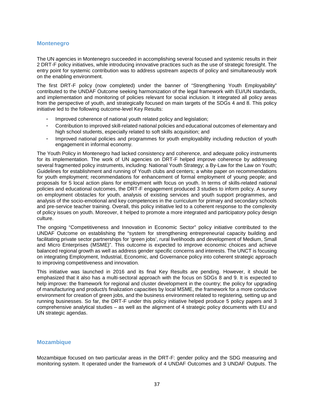#### **Montenegro**

The UN agencies in Montenegro succeeded in accomplishing several focused and systemic results in their 2 DRT-F policy initiatives, while introducing innovative practices such as the use of strategic foresight. The entry point for systemic contribution was to address upstream aspects of policy and simultaneously work on the enabling environment.

The first DRT-F policy (now completed) under the banner of "Strengthening Youth Employability" contributed to the UNDAF Outcome seeking harmonization of the legal framework with EU/UN standards, and implementation and monitoring of policies relevant for social inclusion. It integrated all policy areas from the perspective of youth, and strategically focused on main targets of the SDGs 4 and 8. This policy initiative led to the following outcome-level Key Results:

- Improved coherence of national youth related policy and legislation;
- Contribution to improved skill-related national policies and educational outcomes of elementary and high school students, especially related to soft skills acquisition; and
- Improved national policies and programmes for youth employability including reduction of youth engagement in informal economy.

The Youth Policy in Montenegro had lacked consistency and coherence, and adequate policy instruments for its implementation. The work of UN agencies on DRT-F helped improve coherence by addressing several fragmented policy instruments, including: National Youth Strategy; a By-Law for the Law on Youth; Guidelines for establishment and running of Youth clubs and centers; a white paper on recommendations for youth employment; recommendations for enhancement of formal employment of young people; and proposals for 5 local action plans for employment with focus on youth. In terms of skills-related national policies and educational outcomes, the DRT-F engagement produced 3 studies to inform policy. A survey on employment obstacles for youth, analysis of existing services and youth support programmes, and analysis of the socio-emotional and key competences in the curriculum for primary and secondary schools and pre-service teacher training. Overall, this policy initiative led to a coherent response to the complexity of policy issues on youth. Moreover, it helped to promote a more integrated and participatory policy design culture.

The ongoing "Competitiveness and Innovation in Economic Sector" policy initiative contributed to the UNDAF Outcome on establishing the "system for strengthening entrepreneurial capacity building and facilitating private sector partnerships for 'green jobs', rural livelihoods and development of Medium, Small and Micro Enterprises (MSME)". This outcome is expected to improve economic choices and achieve balanced regional growth as well as address gender specific concerns and interests. The UNCT is focusing on integrating Employment, Industrial, Economic, and Governance policy into coherent strategic approach to improving competitiveness and innovation.

This initiative was launched in 2016 and its final Key Results are pending. However, it should be emphasized that it also has a multi-sectoral approach with the focus on SDGs 8 and 9. It is expected to help improve: the framework for regional and cluster development in the country; the policy for upgrading of manufacturing and product/s finalization capacities by local MSME, the framework for a more conducive environment for creation of green jobs, and the business environment related to registering, setting up and running businesses. So far, the DRT-F under this policy initiative helped produce 5 policy papers and 3 comprehensive analytical studies – as well as the alignment of 4 strategic policy documents with EU and UN strategic agendas.

#### **Mozambique**

Mozambique focused on two particular areas in the DRT-F: gender policy and the SDG measuring and monitoring system. It operated under the framework of 4 UNDAF Outcomes and 3 UNDAF Outputs. The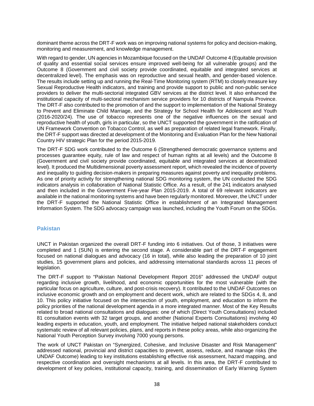dominant theme across the DRT-F work was on improving national systems for policy and decision-making, monitoring and measurement, and knowledge management.

With regard to gender, UN agencies in Mozambique focused on the UNDAF Outcome 4 (Equitable provision of quality and essential social services ensure improved well-being for all vulnerable groups) and the Outcome 8 (Government and civil society provide coordinated, equitable and integrated services at decentralized level). The emphasis was on reproductive and sexual health, and gender-based violence. The results include setting up and running the Real-Time Monitoring system (RTM) to closely measure key Sexual Reproductive Health indicators, and training and provide support to public and non-public service providers to deliver the multi-sectorial integrated GBV services at the district level. It also enhanced the institutional capacity of multi-sectoral mechanism service providers for 10 districts of Nampula Province. The DRT-F also contributed to the promotion of and the support to implementation of the National Strategy to Prevent and Eliminate Child Marriage, and the Strategy for School Health for Adolescent and Youth (2016-2020/24). The use of tobacco represents one of the negative influences on the sexual and reproductive health of youth, girls in particular, so the UNCT supported the government in the ratification of UN Framework Convention on Tobacco Control, as well as preparation of related legal framework. Finally, the DRT-F support was directed at development of the Monitoring and Evaluation Plan for the New National Country HIV strategic Plan for the period 2015-2019.

The DRT-F SDG work contributed to the Outcome 6 (Strengthened democratic governance systems and processes guarantee equity, rule of law and respect of human rights at all levels) and the Outcome 8 (Government and civil society provide coordinated, equitable and integrated services at decentralized level). It produced the Multidimensional poverty assessment report, which revealed the incidence of poverty and inequality to guiding decision-makers in preparing measures against poverty and inequality problems. As one of priority activity for strengthening national SDG monitoring system, the UN conducted the SDG indicators analysis in collaboration of National Statistic Office. As a result, of the 241 indicators analysed and then included in the Government Five-year Plan 2015-2019. A total of 69 relevant indicators are available in the national monitoring systems and have been regularly monitored. Moreover, the UNCT under the DRT-F supported the National Statistic Office in establishment of an Integrated Management Information System. The SDG advocacy campaign was launched, including the Youth Forum on the SDGs.

#### **Pakistan**

UNCT in Pakistan organized the overall DRT-F funding into 6 initiatives. Out of those, 3 initiatives were completed and 1 (SUN) is entering the second stage. A considerable part of the DRT-F engagement focused on national dialogues and advocacy (16 in total), while also leading the preparation of 10 joint studies, 15 government plans and policies, and addressing international standards across 11 pieces of legislation.

The DRT-F support to "Pakistan National Development Report 2016" addressed the UNDAF output regarding inclusive growth, livelihood, and economic opportunities for the most vulnerable (with the particular focus on agriculture, culture, and post-crisis recovery). It contributed to the UNDAF Outcomes on inclusive economic growth and on employment and decent work, which are related to the SDGs 4, 8, and 10. This policy initiative focused on the intersection of youth, employment, and education to inform the policy priorities of the national development agenda in a more integrated manner. Most of the Key Results related to broad national consultations and dialogues: one of which (Direct Youth Consultations) included 81 consultation events with 32 target groups, and another (National Experts Consultations) involving 40 leading experts in education, youth, and employment. The initiative helped national stakeholders conduct systematic review of all relevant policies, plans, and reports in these policy areas, while also organizing the National Youth Perception Survey involving 7000 young persons.

The work of UNCT Pakistan on "Synergized, Cohesive, and Inclusive Disaster and Risk Management" addressed national, provincial and district capacities to prevent, assess, reduce, and manage risks (the UNDAF Outcome) leading to key institutions establishing effective risk assessment, hazard mapping, and respective coordination and oversight mechanisms at all levels. In this area, the DRT-F contributed to development of key policies, institutional capacity, training, and dissemination of Early Warning System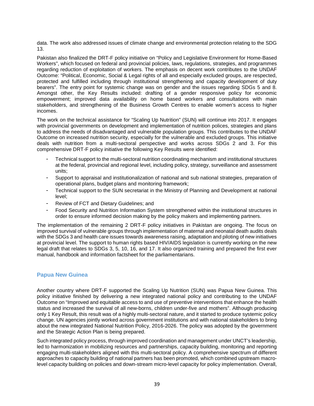data. The work also addressed issues of climate change and environmental protection relating to the SDG 13.

Pakistan also finalized the DRT-F policy initiative on "Policy and Legislative Environment for Home-Based Workers", which focused on federal and provincial policies, laws, regulations, strategies, and programmes regarding reduction of exploitation of workers. The emphasis on decent work contributes to the UNDAF Outcome: "Political, Economic, Social & Legal rights of all and especially excluded groups, are respected, protected and fulfilled including through institutional strengthening and capacity development of duty bearers". The entry point for systemic change was on gender and the issues regarding SDGs 5 and 8. Amongst other, the Key Results included: drafting of a gender responsive policy for economic empowerment; improved data availability on home based workers and consultations with main stakeholders, and strengthening of the Business Growth Centres to enable women's access to higher incomes.

The work on the technical assistance for "Scaling Up Nutrition" (SUN) will continue into 2017. It engages with provincial governments on development and implementation of nutrition polices, strategies and plans to address the needs of disadvantaged and vulnerable population groups. This contributes to the UNDAF Outcome on increased nutrition security, especially for the vulnerable and excluded groups. This initiative deals with nutrition from a multi-sectoral perspective and works across SDGs 2 and 3. For this comprehensive DRT-F policy initiative the following Key Results were identified:

- Technical support to the multi-sectoral nutrition coordinating mechanism and institutional structures at the federal, provincial and regional level, including policy, strategy, surveillance and assessment units;
- Support to appraisal and institutionalization of national and sub national strategies, preparation of operational plans, budget plans and monitoring framework;
- Technical support to the SUN secretariat in the Ministry of Planning and Development at national level;
- Review of FCT and Dietary Guidelines; and
- Food Security and Nutrition Information System strengthened within the institutional structures in order to ensure informed decision making by the policy makers and implementing partners.

The implementation of the remaining 2 DRT-F policy initiatives in Pakistan are ongoing. The focus on improved survival of vulnerable groups through implementation of maternal and neonatal death audits deals with the SDGs 3 and health care issues towards awareness raising, adaptation and piloting of new initiatives at provincial level. The support to human rights based HIV/AIDS legislation is currently working on the new legal draft that relates to SDGs 3, 5, 10, 16, and 17. It also organized training and prepared the first ever manual, handbook and information factsheet for the parliamentarians.

#### **Papua New Guinea**

Another country where DRT-F supported the Scaling Up Nutrition (SUN) was Papua New Guinea. This policy initiative finished by delivering a new integrated national policy and contributing to the UNDAF Outcome on "Improved and equitable access to and use of preventive interventions that enhance the health status and increased the survival of all new-borns, children under-five and mothers". Although producing only 1 Key Result, this result was of a highly multi-sectoral nature, and it started to produce systemic policy change. UN agencies jointly worked across government institutions and with national stakeholders to bring about the new integrated National Nutrition Policy, 2016-2026. The policy was adopted by the government and the Strategic Action Plan is being prepared.

Such integrated policy process, through improved coordination and management under UNCT's leadership, led to harmonization in mobilizing resources and partnerships, capacity building, monitoring and reporting engaging multi-stakeholders aligned with this multi-sectoral policy. A comprehensive spectrum of different approaches to capacity building of national partners has been promoted, which combined upstream macrolevel capacity building on policies and down-stream micro-level capacity for policy implementation. Overall,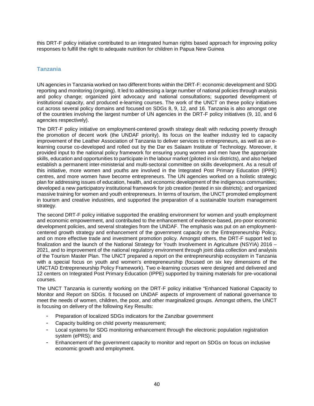this DRT-F policy initiative contributed to an integrated human rights based approach for improving policy responses to fulfill the right to adequate nutrition for children in Papua New Guinea

#### **Tanzania**

UN agencies in Tanzania worked on two different fronts within the DRT-F: economic development and SDG reporting and monitoring (ongoing). It led to addressing a large number of national policies through analysis and policy change; organized joint advocacy and national consultations; supported development of institutional capacity, and produced e-learning courses. The work of the UNCT on these policy initiatives cut across several policy domains and focused on SDGs 8, 9, 12, and 16. Tanzania is also amongst one of the countries involving the largest number of UN agencies in the DRT-F policy initiatives (9, 10, and 6 agencies respectively).

The DRT-F policy initiative on employment-centered growth strategy dealt with reducing poverty through the promotion of decent work (the UNDAF priority). Its focus on the leather industry led to capacity improvement of the Leather Association of Tanzania to deliver services to entrepreneurs, as well as an elearning course co-developed and rolled out by the Dar es Salaam Institute of Technology. Moreover, it provided input to the national policy framework for ensuring young women and men have the appropriate skills, education and opportunities to participate in the labour market (piloted in six districts), and also helped establish a permanent inter-ministerial and multi-sectoral committee on skills development. As a result of this initiative, more women and youths are involved in the Integrated Post Primary Education (IPPE) centres, and more women have become entrepreneurs. The UN agencies worked on a holistic strategic plan for addressing issues of education, health, and economic development of the indigenous communities; developed a new participatory institutional framework for job creation (tested in six districts); and organized massive training for women and youth entrepreneurs. In terms of tourism, the UNCT promoted employment in tourism and creative industries, and supported the preparation of a sustainable tourism management strategy.

The second DRT-F policy initiative supported the enabling environment for women and youth employment and economic empowerment, and contributed to the enhancement of evidence-based, pro-poor economic development policies, and several strategies from the UNDAF. The emphasis was put on an employmentcentered growth strategy and enhancement of the government capacity on the Entrepreneurship Policy, and on more effective trade and investment promotion policy. Amongst others, the DRT-F support led to finalization and the launch of the National Strategy for Youth Involvement in Agriculture (NSYIA) 2016 – 2021, and to improvement of the national regulatory environment through joint data collection and analysis of the Tourism Master Plan. The UNCT prepared a report on the entrepreneurship ecosystem in Tanzania with a special focus on youth and women's entrepreneurship (focused on six key dimensions of the UNCTAD Entrepreneurship Policy Framework). Two e-learning courses were designed and delivered and 12 centers on Integrated Post Primary Education (IPPE) supported by training materials for pre-vocational courses.

The UNCT Tanzania is currently working on the DRT-F policy initiative "Enhanced National Capacity to Monitor and Report on SDGs. It focused on UNDAF aspects of improvement of national governance to meet the needs of women, children, the poor, and other marginalized groups. Amongst others, the UNCT is focusing on delivery of the following Key Results:

- Preparation of localized SDGs indicators for the Zanzibar government
- Capacity building on child poverty measurement;
- Local systems for SDG monitoring enhancement through the electronic population registration system (ePRS); and
- Enhancement of the government capacity to monitor and report on SDGs on focus on inclusive economic growth and employment.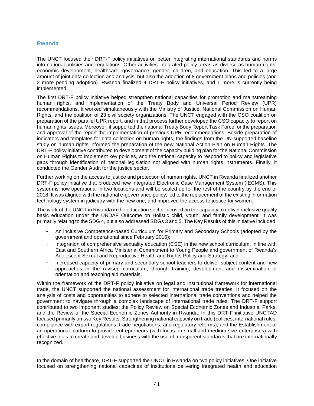#### **Rwanda**

The UNCT focused their DRT-F policy initiatives on better integrating international standards and norms into national policies and regulations. Other activities integrated policy areas as diverse as human rights, economic development, healthcare, governance, gender, children, and education. This led to a large amount of joint data collection and analysis, but also the adoption of 8 government plans and policies (and 2 more pending adoption). Rwanda finalized 4 DRT-F policy initiatives, and 1 more is currently being implemented.

The first DRT-F policy initiative helped strengthen national capacities for promotion and mainstreaming human rights, and implementation of the Treaty Body and Universal Period Review (UPR) recommendations. It worked simultaneously with the Ministry of Justice, National Commission on Human Rights, and the coalition of 23 civil society organizations. The UNCT engaged with the CSO coalition on preparation of the parallel UPR report, and in that process further developed the CSO capacity to report on human rights issues. Moreover, it supported the national Treaty Body Report Task Force for the preparation and approval of the report the implementation of previous UPR recommendations. Beside preparation of indicators and templates for data collection on human rights, the findings from the UN-supported baseline study on human rights informed the preparation of the new National Action Plan on Human Rights. The DRT-F policy initiative contributed to development of the capacity building plan for the National Commission on Human Rights to implement key policies, and the national capacity to respond to policy and legislative gaps through identification of national legislation not aligned with human rights instruments. Finally, it conducted the Gender Audit for the justice sector.

Further working on the access to justice and protection of human rights, UNCT in Rwanda finalized another DRT-F policy initiative that produced new Integrated Electronic Case Management System (IECMS). This system is now operational in two locations and will be scaled up for the rest of the country by the end of 2018. It was aligned with the national e-governance policy; led to the replacement of the existing information technology system in judiciary with the new one; and improved the access to justice for women.

The work of the UNCT in Rwanda in the education sector focused on the capacity to deliver inclusive quality basic education under the UNDAF Outcome on Holistic child, youth, and family development. It was primarily relating to the SDG 4, but also addressed SDGs 3 and 5. The Key Results of this initiative included:

- An inclusive Competence-based Curriculum for Primary and Secondary Schools (adopted by the government and operational since February 2016);
- Integration of comprehensive sexuality education (CSE) in the new school curriculum, in line with East and Southern Africa Ministerial Commitment to Young People and government of Rwanda's Adolescent Sexual and Reproductive Health and Rights Policy and Strategy; and
- Increased capacity of primary and secondary school teachers to deliver subject content and new approaches in the revised curriculum, through training, development and dissemination of orientation and teaching aid materials.

Within the framework of the DRT-F policy initiative on legal and institutional framework for international trade, the UNCT supported the national assessment for international trade treaties. It focused on the analysis of costs and opportunities to adhere to selected international trade conventions and helped the government to navigate through a complex landscape of international trade rules. The DRT-F support contributed to two important studies: the Policy Review on Special Economic Zones and Industrial Parks, and the Review of the Special Economic Zones Authority in Rwanda. In this DRT-F initiative UNCTAD focused primarily on two Key Results: Strengthening national capacity on trade (policies, international rules, compliance with export regulations, trade negotiations, and regulatory reforms), and the Establishment of an operational platform to provide entrepreneurs (with focus on small and medium size enterprises) with effective tools to create and develop business with the use of transparent standards that are internationally recognized.

In the domain of healthcare, DRT-F supported the UNCT in Rwanda on two policy initiatives. One initiative focused on strengthening national capacities of institutions delivering integrated health and education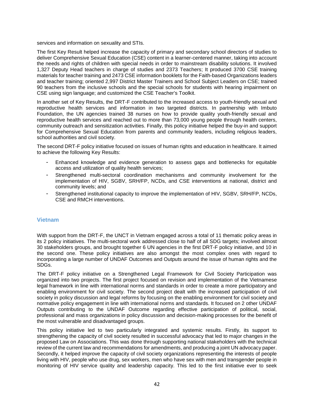services and information on sexuality and STIs.

The first Key Result helped increase the capacity of primary and secondary school directors of studies to deliver Comprehensive Sexual Education (CSE) content in a learner-centered manner, taking into account the needs and rights of children with special needs in order to mainstream disability solutions. It involved 1,327 Deputy Head teachers in charge of studies and 2373 Teachers; It produced 3700 CSE training materials for teacher training and 2473 CSE information booklets for the Faith-based Organizations leaders and teacher training; oriented 2,997 District Master Trainers and School Subject Leaders on CSE; trained 90 teachers from the inclusive schools and the special schools for students with hearing impairment on CSE using sign language; and customized the CSE Teacher's Toolkit.

In another set of Key Results, the DRT-F contributed to the increased access to youth-friendly sexual and reproductive health services and information in two targeted districts. In partnership with Imbuto Foundation, the UN agencies trained 38 nurses on how to provide quality youth-friendly sexual and reproductive health services and reached out to more than 73,000 young people through health centers, community outreach and sensitization activities. Finally, this policy initiative helped the buy-in and support for Comprehensive Sexual Education from parents and community leaders, including religious leaders, school authorities and civil society.

The second DRT-F policy initiative focused on issues of human rights and education in healthcare. It aimed to achieve the following Key Results:

- Enhanced knowledge and evidence generation to assess gaps and bottlenecks for equitable access and utilization of quality health services;
- Strengthened multi-sectoral coordination mechanisms and community involvement for the implementation of HIV, SGBV, SRH/FP, NCDs, and CSE interventions at national, district and community levels; and
- Strengthened institutional capacity to improve the implementation of HIV, SGBV, SRH/FP, NCDs, CSE and RMCH interventions.

### **Vietnam**

With support from the DRT-F, the UNCT in Vietnam engaged across a total of 11 thematic policy areas in its 2 policy initiatives. The multi-sectoral work addressed close to half of all SDG targets; involved almost 30 stakeholders groups, and brought together 6 UN agencies in the first DRT-F policy initiative, and 10 in the second one. These policy initiatives are also amongst the most complex ones with regard to incorporating a large number of UNDAF Outcomes and Outputs around the issue of human rights and the SDGs.

The DRT-F policy initiative on a Strengthened Legal Framework for Civil Society Participation was organized into two projects. The first project focused on revision and implementation of the Vietnamese legal framework in line with international norms and standards in order to create a more participatory and enabling environment for civil society. The second project dealt with the increased participation of civil society in policy discussion and legal reforms by focusing on the enabling environment for civil society and normative policy engagement in line with international norms and standards. It focused on 2 other UNDAF Outputs contributing to the UNDAF Outcome regarding effective participation of political, social, professional and mass organizations in policy discussion and decision-making processes for the benefit of the most vulnerable and disadvantaged groups.

This policy initiative led to two particularly integrated and systemic results. Firstly, its support to strengthening the capacity of civil society resulted in successful advocacy that led to major changes in the proposed Law on Associations. This was done through supporting national stakeholders with the technical review of the current law and recommendations for amendments, and producing a joint UN advocacy paper. Secondly, it helped improve the capacity of civil society organizations representing the interests of people living with HIV, people who use drug, sex workers, men who have sex with men and transgender people in monitoring of HIV service quality and leadership capacity. This led to the first initiative ever to seek